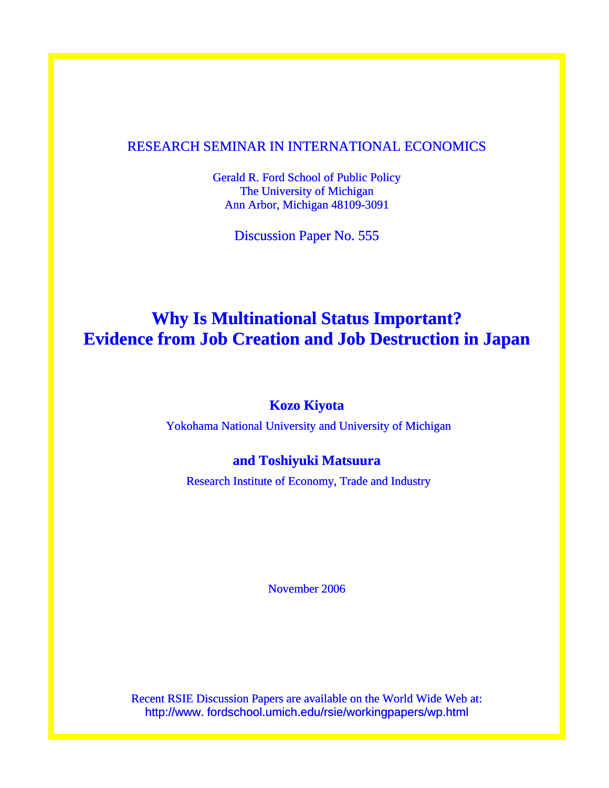## RESEARCH SEMINAR IN INTERNATIONAL ECONOMICS

Gerald R. Ford School of Public Policy The University of Michigan Ann Arbor, Michigan 48109-3091

Discussion Paper No. 555

# **Why Is Multinational Status Important? Evidence from Job Creation and Job Destruction in Japan**

### **Kozo Kiyota**

Yokohama National University and University of Michigan

# **and Toshiyuki Matsuura**

Research Institute of Economy, Trade and Industry

November 2006

Recent RSIE Discussion Papers are available on the World Wide Web at: http://www. fordschool.umich.edu/rsie/workingpapers/wp.html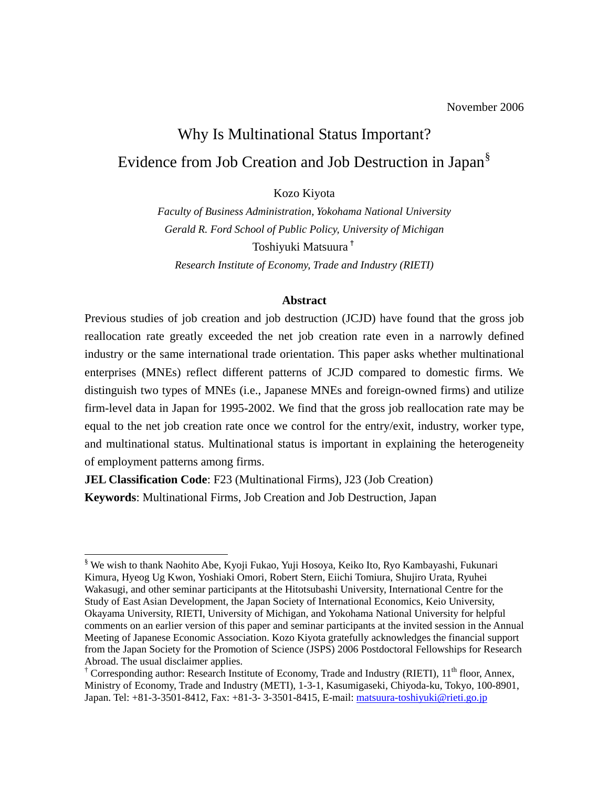# Why Is Multinational Status Important? Evidence from Job Creation and Job Destruction in Japan[§](#page-1-0)

Kozo Kiyota

*Faculty of Business Administration, Yokohama National University Gerald R. Ford School of Public Policy, University of Michigan*  Toshiyuki Matsuura[†](#page-1-1) *Research Institute of Economy, Trade and Industry (RIETI)* 

#### **Abstract**

Previous studies of job creation and job destruction (JCJD) have found that the gross job reallocation rate greatly exceeded the net job creation rate even in a narrowly defined industry or the same international trade orientation. This paper asks whether multinational enterprises (MNEs) reflect different patterns of JCJD compared to domestic firms. We distinguish two types of MNEs (i.e., Japanese MNEs and foreign-owned firms) and utilize firm-level data in Japan for 1995-2002. We find that the gross job reallocation rate may be equal to the net job creation rate once we control for the entry/exit, industry, worker type, and multinational status. Multinational status is important in explaining the heterogeneity of employment patterns among firms.

**JEL Classification Code**: F23 (Multinational Firms), J23 (Job Creation) **Keywords**: Multinational Firms, Job Creation and Job Destruction, Japan

<u>.</u>

<span id="page-1-0"></span><sup>§</sup> We wish to thank Naohito Abe, Kyoji Fukao, Yuji Hosoya, Keiko Ito, Ryo Kambayashi, Fukunari Kimura, Hyeog Ug Kwon, Yoshiaki Omori, Robert Stern, Eiichi Tomiura, Shujiro Urata, Ryuhei Wakasugi, and other seminar participants at the Hitotsubashi University, International Centre for the Study of East Asian Development, the Japan Society of International Economics, Keio University, Okayama University, RIETI, University of Michigan, and Yokohama National University for helpful comments on an earlier version of this paper and seminar participants at the invited session in the Annual Meeting of Japanese Economic Association. Kozo Kiyota gratefully acknowledges the financial support from the Japan Society for the Promotion of Science (JSPS) 2006 Postdoctoral Fellowships for Research Abroad. The usual disclaimer applies.

<span id="page-1-1"></span><sup>&</sup>lt;sup>†</sup> Corresponding author: Research Institute of Economy, Trade and Industry (RIETI), 11<sup>th</sup> floor, Annex, Ministry of Economy, Trade and Industry (METI), 1-3-1, Kasumigaseki, Chiyoda-ku, Tokyo, 100-8901, Japan. Tel: +81-3-3501-8412, Fax: +81-3- 3-3501-8415, E-mail: [matsuura-toshiyuki@rieti.go.jp](mailto:matsuura-toshiyuki@rieti.go.jp)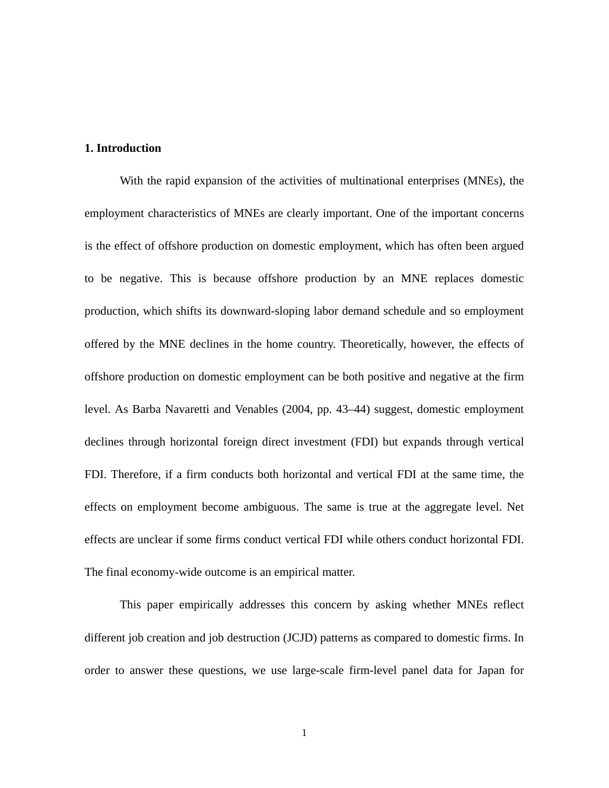### **1. Introduction**

With the rapid expansion of the activities of multinational enterprises (MNEs), the employment characteristics of MNEs are clearly important. One of the important concerns is the effect of offshore production on domestic employment, which has often been argued to be negative. This is because offshore production by an MNE replaces domestic production, which shifts its downward-sloping labor demand schedule and so employment offered by the MNE declines in the home country. Theoretically, however, the effects of offshore production on domestic employment can be both positive and negative at the firm level. As Barba Navaretti and Venables (2004, pp. 43–44) suggest, domestic employment declines through horizontal foreign direct investment (FDI) but expands through vertical FDI. Therefore, if a firm conducts both horizontal and vertical FDI at the same time, the effects on employment become ambiguous. The same is true at the aggregate level. Net effects are unclear if some firms conduct vertical FDI while others conduct horizontal FDI. The final economy-wide outcome is an empirical matter.

This paper empirically addresses this concern by asking whether MNEs reflect different job creation and job destruction (JCJD) patterns as compared to domestic firms. In order to answer these questions, we use large-scale firm-level panel data for Japan for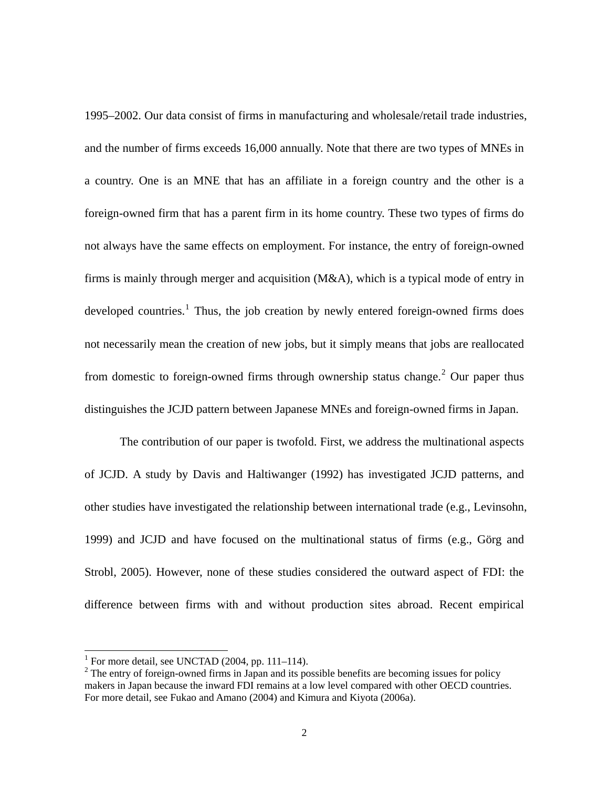1995–2002. Our data consist of firms in manufacturing and wholesale/retail trade industries, and the number of firms exceeds 16,000 annually. Note that there are two types of MNEs in a country. One is an MNE that has an affiliate in a foreign country and the other is a foreign-owned firm that has a parent firm in its home country. These two types of firms do not always have the same effects on employment. For instance, the entry of foreign-owned firms is mainly through merger and acquisition (M&A), which is a typical mode of entry in developed countries.<sup>[1](#page-3-0)</sup> Thus, the job creation by newly entered foreign-owned firms does not necessarily mean the creation of new jobs, but it simply means that jobs are reallocated from domestic to foreign-owned firms through ownership status change.<sup>[2](#page-3-1)</sup> Our paper thus distinguishes the JCJD pattern between Japanese MNEs and foreign-owned firms in Japan.

The contribution of our paper is twofold. First, we address the multinational aspects of JCJD. A study by Davis and Haltiwanger (1992) has investigated JCJD patterns, and other studies have investigated the relationship between international trade (e.g., Levinsohn, 1999) and JCJD and have focused on the multinational status of firms (e.g., Görg and Strobl, 2005). However, none of these studies considered the outward aspect of FDI: the difference between firms with and without production sites abroad. Recent empirical

<u>.</u>

<span id="page-3-0"></span><sup>&</sup>lt;sup>1</sup> For more detail, see UNCTAD (2004, pp. 111–114).

<span id="page-3-1"></span> $2^2$  The entry of foreign-owned firms in Japan and its possible benefits are becoming issues for policy makers in Japan because the inward FDI remains at a low level compared with other OECD countries. For more detail, see Fukao and Amano (2004) and Kimura and Kiyota (2006a).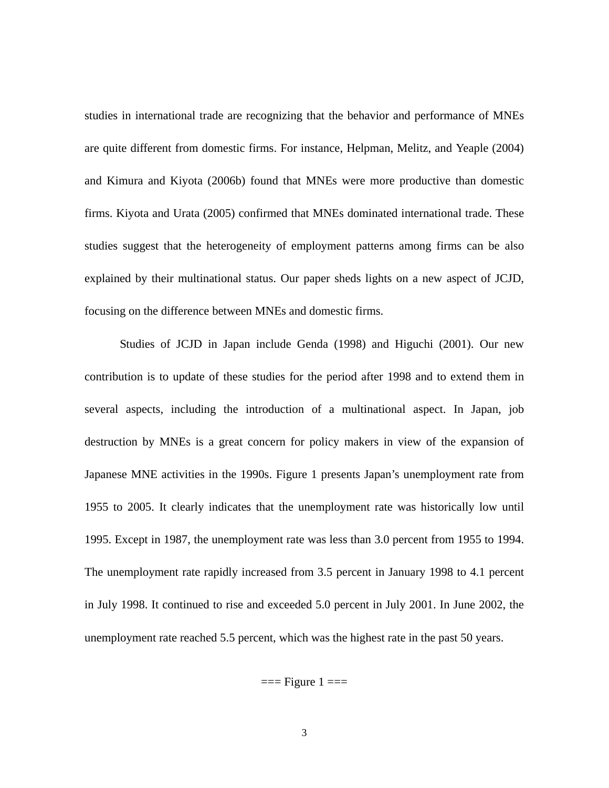studies in international trade are recognizing that the behavior and performance of MNEs are quite different from domestic firms. For instance, Helpman, Melitz, and Yeaple (2004) and Kimura and Kiyota (2006b) found that MNEs were more productive than domestic firms. Kiyota and Urata (2005) confirmed that MNEs dominated international trade. These studies suggest that the heterogeneity of employment patterns among firms can be also explained by their multinational status. Our paper sheds lights on a new aspect of JCJD, focusing on the difference between MNEs and domestic firms.

Studies of JCJD in Japan include Genda (1998) and Higuchi (2001). Our new contribution is to update of these studies for the period after 1998 and to extend them in several aspects, including the introduction of a multinational aspect. In Japan, job destruction by MNEs is a great concern for policy makers in view of the expansion of Japanese MNE activities in the 1990s. Figure 1 presents Japan's unemployment rate from 1955 to 2005. It clearly indicates that the unemployment rate was historically low until 1995. Except in 1987, the unemployment rate was less than 3.0 percent from 1955 to 1994. The unemployment rate rapidly increased from 3.5 percent in January 1998 to 4.1 percent in July 1998. It continued to rise and exceeded 5.0 percent in July 2001. In June 2002, the unemployment rate reached 5.5 percent, which was the highest rate in the past 50 years.

 $==$  Figure  $1 ==$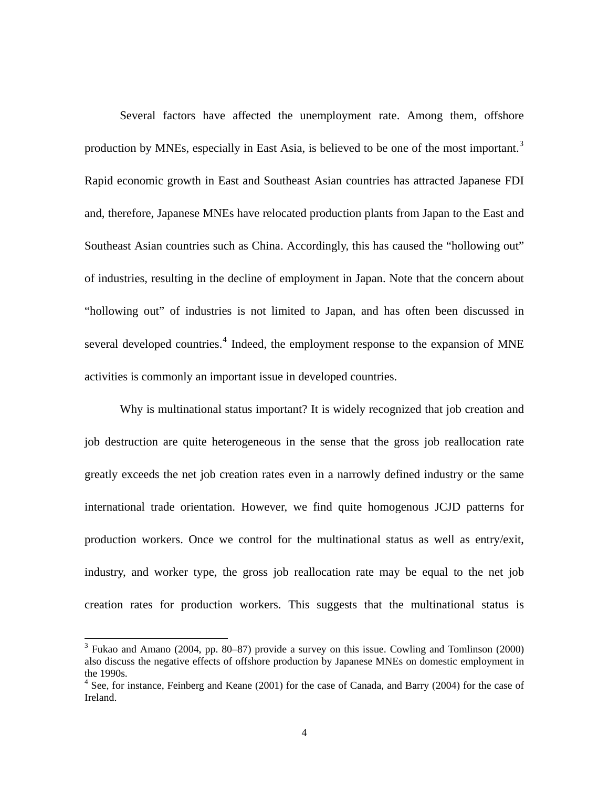Several factors have affected the unemployment rate. Among them, offshore production by MNEs, especially in East Asia, is believed to be one of the most important.<sup>[3](#page-5-0)</sup> Rapid economic growth in East and Southeast Asian countries has attracted Japanese FDI and, therefore, Japanese MNEs have relocated production plants from Japan to the East and Southeast Asian countries such as China. Accordingly, this has caused the "hollowing out" of industries, resulting in the decline of employment in Japan. Note that the concern about "hollowing out" of industries is not limited to Japan, and has often been discussed in several developed countries.<sup>[4](#page-5-1)</sup> Indeed, the employment response to the expansion of MNE activities is commonly an important issue in developed countries.

Why is multinational status important? It is widely recognized that job creation and job destruction are quite heterogeneous in the sense that the gross job reallocation rate greatly exceeds the net job creation rates even in a narrowly defined industry or the same international trade orientation. However, we find quite homogenous JCJD patterns for production workers. Once we control for the multinational status as well as entry/exit, industry, and worker type, the gross job reallocation rate may be equal to the net job creation rates for production workers. This suggests that the multinational status is

-

<span id="page-5-0"></span> $3$  Fukao and Amano (2004, pp. 80–87) provide a survey on this issue. Cowling and Tomlinson (2000) also discuss the negative effects of offshore production by Japanese MNEs on domestic employment in the 1990s.

<span id="page-5-1"></span><sup>&</sup>lt;sup>4</sup> See, for instance, Feinberg and Keane (2001) for the case of Canada, and Barry (2004) for the case of Ireland.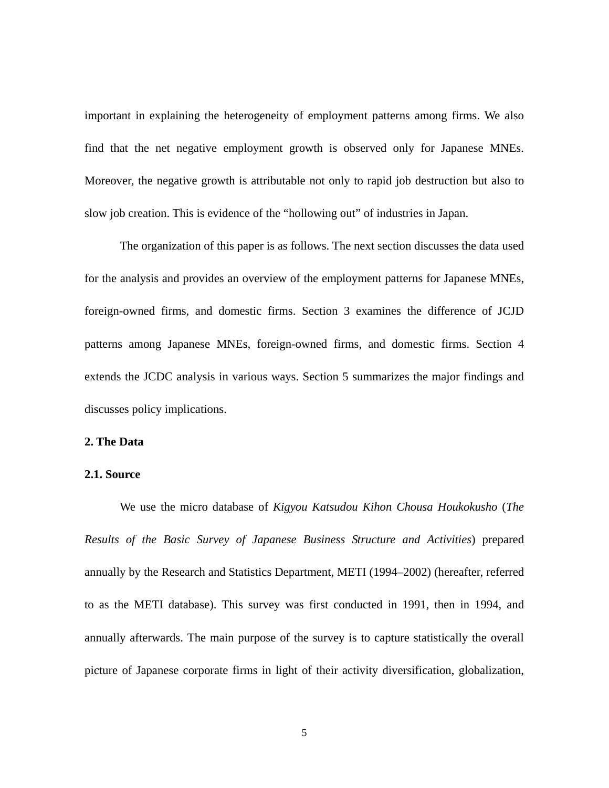important in explaining the heterogeneity of employment patterns among firms. We also find that the net negative employment growth is observed only for Japanese MNEs. Moreover, the negative growth is attributable not only to rapid job destruction but also to slow job creation. This is evidence of the "hollowing out" of industries in Japan.

The organization of this paper is as follows. The next section discusses the data used for the analysis and provides an overview of the employment patterns for Japanese MNEs, foreign-owned firms, and domestic firms. Section 3 examines the difference of JCJD patterns among Japanese MNEs, foreign-owned firms, and domestic firms. Section 4 extends the JCDC analysis in various ways. Section 5 summarizes the major findings and discusses policy implications.

#### **2. The Data**

#### **2.1. Source**

We use the micro database of *Kigyou Katsudou Kihon Chousa Houkokusho* (*The Results of the Basic Survey of Japanese Business Structure and Activities*) prepared annually by the Research and Statistics Department, METI (1994–2002) (hereafter, referred to as the METI database). This survey was first conducted in 1991, then in 1994, and annually afterwards. The main purpose of the survey is to capture statistically the overall picture of Japanese corporate firms in light of their activity diversification, globalization,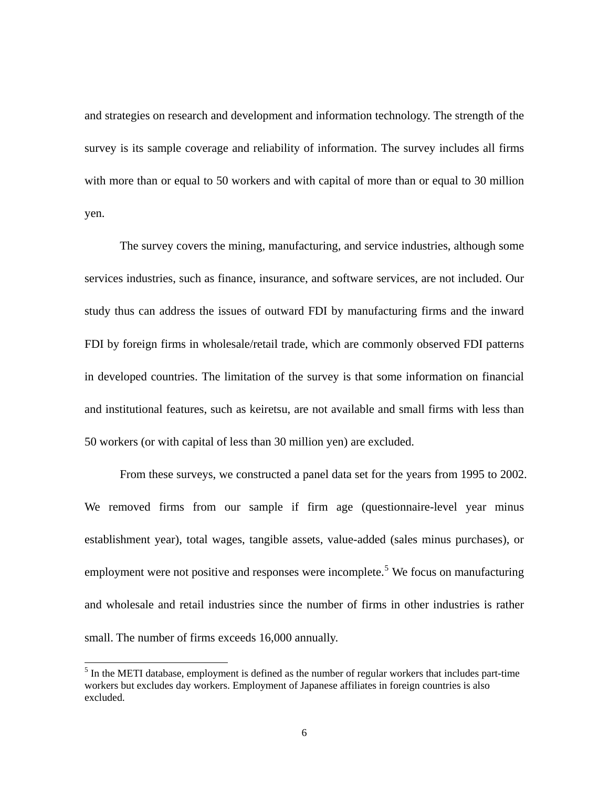and strategies on research and development and information technology. The strength of the survey is its sample coverage and reliability of information. The survey includes all firms with more than or equal to 50 workers and with capital of more than or equal to 30 million yen.

The survey covers the mining, manufacturing, and service industries, although some services industries, such as finance, insurance, and software services, are not included. Our study thus can address the issues of outward FDI by manufacturing firms and the inward FDI by foreign firms in wholesale/retail trade, which are commonly observed FDI patterns in developed countries. The limitation of the survey is that some information on financial and institutional features, such as keiretsu, are not available and small firms with less than 50 workers (or with capital of less than 30 million yen) are excluded.

From these surveys, we constructed a panel data set for the years from 1995 to 2002. We removed firms from our sample if firm age (questionnaire-level year minus establishment year), total wages, tangible assets, value-added (sales minus purchases), or employment were not positive and responses were incomplete.<sup>[5](#page-7-0)</sup> We focus on manufacturing and wholesale and retail industries since the number of firms in other industries is rather small. The number of firms exceeds 16,000 annually.

<u>.</u>

<span id="page-7-0"></span> $<sup>5</sup>$  In the METI database, employment is defined as the number of regular workers that includes part-time</sup> workers but excludes day workers. Employment of Japanese affiliates in foreign countries is also excluded.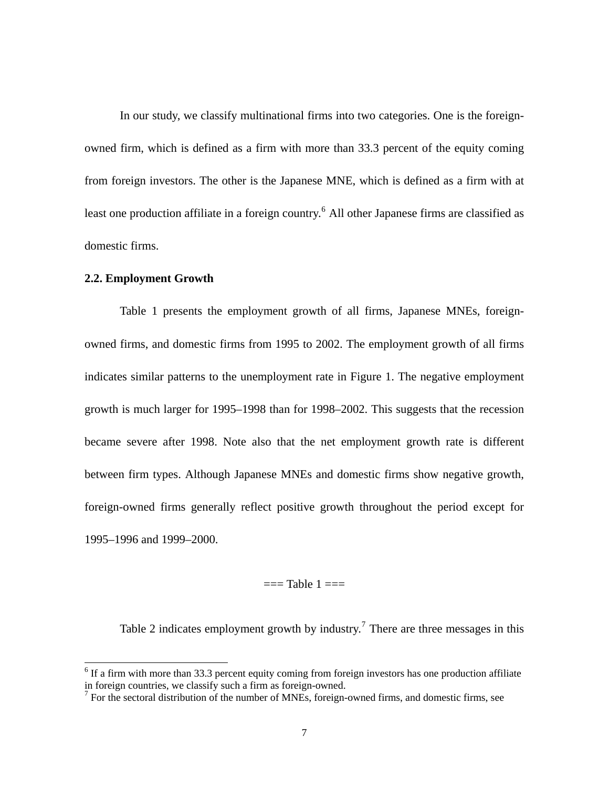In our study, we classify multinational firms into two categories. One is the foreignowned firm, which is defined as a firm with more than 33.3 percent of the equity coming from foreign investors. The other is the Japanese MNE, which is defined as a firm with at least one production affiliate in a foreign country.<sup>[6](#page-8-0)</sup> All other Japanese firms are classified as domestic firms.

#### **2.2. Employment Growth**

<u>.</u>

Table 1 presents the employment growth of all firms, Japanese MNEs, foreignowned firms, and domestic firms from 1995 to 2002. The employment growth of all firms indicates similar patterns to the unemployment rate in Figure 1. The negative employment growth is much larger for 1995–1998 than for 1998–2002. This suggests that the recession became severe after 1998. Note also that the net employment growth rate is different between firm types. Although Japanese MNEs and domestic firms show negative growth, foreign-owned firms generally reflect positive growth throughout the period except for 1995–1996 and 1999–2000.

 $==$ Table  $1 ==$ 

Table 2 indicates employment growth by industry.<sup>[7](#page-8-1)</sup> There are three messages in this

<span id="page-8-0"></span> $6$  If a firm with more than 33.3 percent equity coming from foreign investors has one production affiliate in foreign countries, we classify such a firm as foreign-owned.

<span id="page-8-1"></span><sup>&</sup>lt;sup>7</sup> For the sectoral distribution of the number of MNEs, foreign-owned firms, and domestic firms, see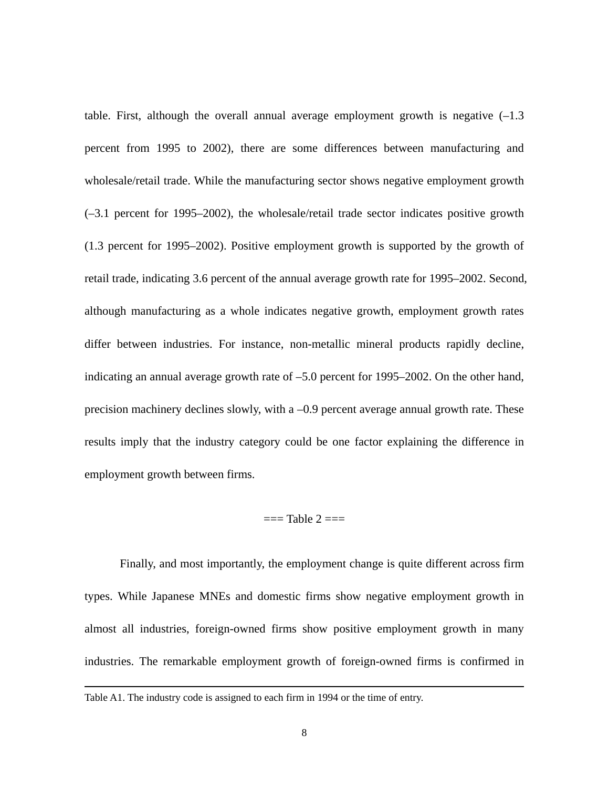table. First, although the overall annual average employment growth is negative  $(-1.3)$ percent from 1995 to 2002), there are some differences between manufacturing and wholesale/retail trade. While the manufacturing sector shows negative employment growth (–3.1 percent for 1995–2002), the wholesale/retail trade sector indicates positive growth (1.3 percent for 1995–2002). Positive employment growth is supported by the growth of retail trade, indicating 3.6 percent of the annual average growth rate for 1995–2002. Second, although manufacturing as a whole indicates negative growth, employment growth rates differ between industries. For instance, non-metallic mineral products rapidly decline, indicating an annual average growth rate of –5.0 percent for 1995–2002. On the other hand, precision machinery declines slowly, with a –0.9 percent average annual growth rate. These results imply that the industry category could be one factor explaining the difference in employment growth between firms.

#### $==$ Table  $2 ==$

Finally, and most importantly, the employment change is quite different across firm types. While Japanese MNEs and domestic firms show negative employment growth in almost all industries, foreign-owned firms show positive employment growth in many industries. The remarkable employment growth of foreign-owned firms is confirmed in

-

Table A1. The industry code is assigned to each firm in 1994 or the time of entry.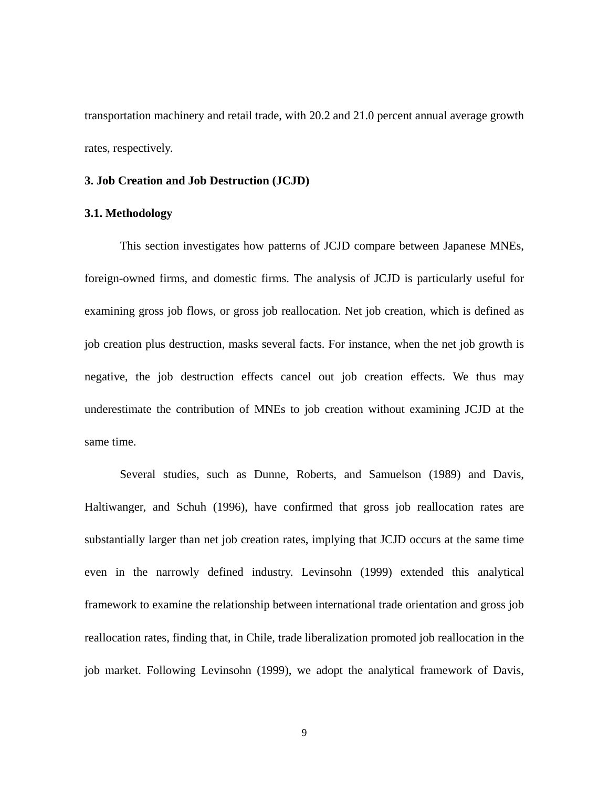transportation machinery and retail trade, with 20.2 and 21.0 percent annual average growth rates, respectively.

#### **3. Job Creation and Job Destruction (JCJD)**

#### **3.1. Methodology**

This section investigates how patterns of JCJD compare between Japanese MNEs, foreign-owned firms, and domestic firms. The analysis of JCJD is particularly useful for examining gross job flows, or gross job reallocation. Net job creation, which is defined as job creation plus destruction, masks several facts. For instance, when the net job growth is negative, the job destruction effects cancel out job creation effects. We thus may underestimate the contribution of MNEs to job creation without examining JCJD at the same time.

Several studies, such as Dunne, Roberts, and Samuelson (1989) and Davis, Haltiwanger, and Schuh (1996), have confirmed that gross job reallocation rates are substantially larger than net job creation rates, implying that JCJD occurs at the same time even in the narrowly defined industry. Levinsohn (1999) extended this analytical framework to examine the relationship between international trade orientation and gross job reallocation rates, finding that, in Chile, trade liberalization promoted job reallocation in the job market. Following Levinsohn (1999), we adopt the analytical framework of Davis,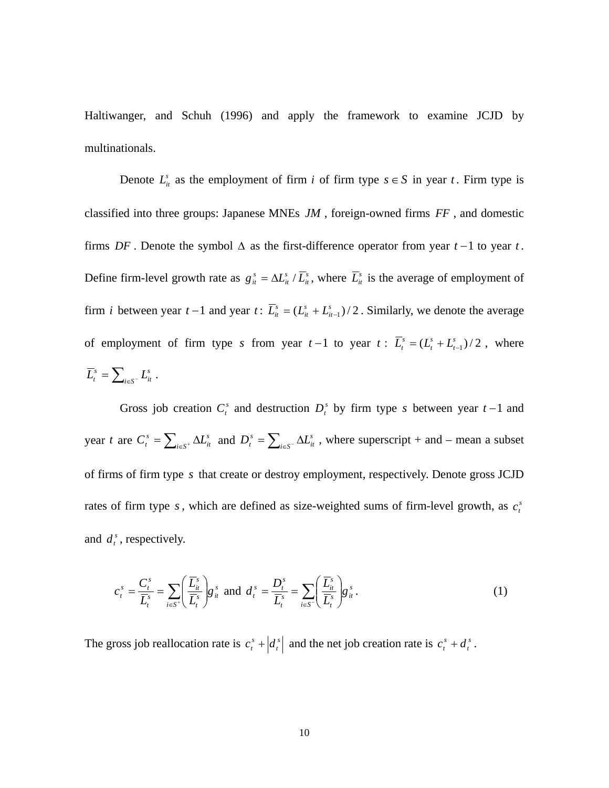Haltiwanger, and Schuh (1996) and apply the framework to examine JCJD by multinationals.

Denote  $L_{it}^s$  as the employment of firm *i* of firm type  $s \in S$  in year *t*. Firm type is classified into three groups: Japanese MNEs *JM* , foreign-owned firms *FF* , and domestic firms  $DF$ . Denote the symbol  $\Delta$  as the first-difference operator from year  $t-1$  to year  $t$ . Define firm-level growth rate as  $g_{it}^s = \Delta L_{it}^s / \overline{L}_{it}^s$ *it s*  $g_{it}^s = \Delta L_{it}^s / \overline{L}_{it}^s$ , where  $\overline{L}_{it}^s$  is the average of employment of firm *i* between year  $t-1$  and year  $t: \overline{L}_{it}^s = (L_{it}^s + L_{it-1}^s)/2$ *it s it*  $\overline{L}_{it}^s = (L_{it}^s + L_{it-1}^s)/2$ . Similarly, we denote the average of employment of firm type *s* from year  $t-1$  to year  $t: \overline{L}_t^s = (L_t^s + L_{t-1}^s)/2$ *t*  $\overline{L}_t^s = (L_t^s + L_{t-1}^s)/2$ , where  $=\sum\nolimits_{i\in S^-}L_i^s$  $\overline{L}_t^s = \sum_{i \in S^-} L_{it}^s$ .

Gross job creation  $C_t^s$  and destruction  $D_t^s$  by firm type *s* between year  $t-1$  and year *t* are  $C_t^s = \sum_{i \in S^+} \Delta L_{it}^s$  and *s*  $C_t^s = \sum_{i \in S^+} \Delta L_{it}^s$  and  $D_t^s = \sum_{i \in S^-} \Delta$ *s*  $D_t^s = \sum_{i \in S^-} \Delta L_{it}^s$ , where superscript + and – mean a subset of firms of firm type *s* that create or destroy employment, respectively. Denote gross JCJD rates of firm type  $s$ , which are defined as size-weighted sums of firm-level growth, as  $c_t^s$ and  $d_i^s$ , respectively.

$$
c_t^s = \frac{C_t^s}{\overline{L}_t^s} = \sum_{i \in S^*} \left( \frac{\overline{L}_{it}^s}{\overline{L}_t^s} \right) g_{it}^s \text{ and } d_t^s = \frac{D_t^s}{\overline{L}_t^s} = \sum_{i \in S^-} \left( \frac{\overline{L}_{it}^s}{\overline{L}_t^s} \right) g_{it}^s.
$$
 (1)

The gross job reallocation rate is  $c_i^s + d_i^s$  $c_i^s$  +  $\left| d_i^s \right|$  and the net job creation rate is  $c_i^s$  +  $d_i^s$ .  $c_i^s + d$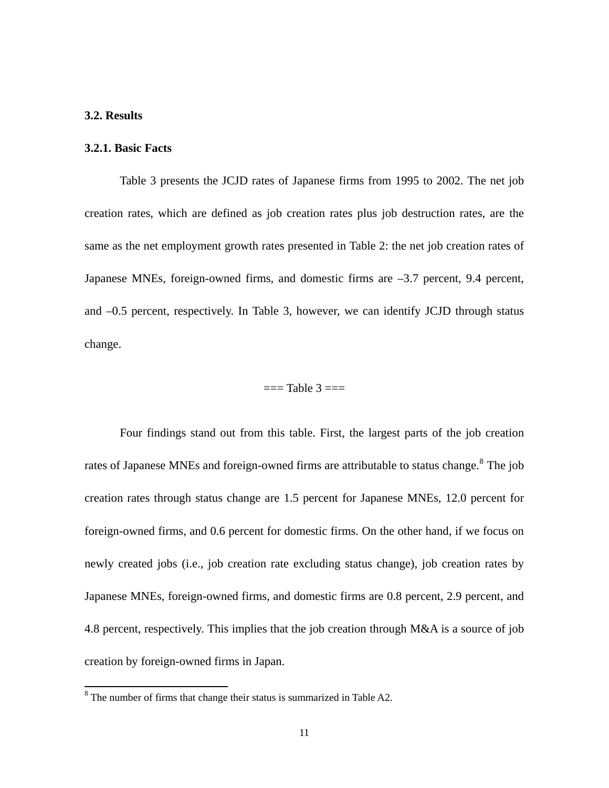### **3.2. Results**

#### **3.2.1. Basic Facts**

Table 3 presents the JCJD rates of Japanese firms from 1995 to 2002. The net job creation rates, which are defined as job creation rates plus job destruction rates, are the same as the net employment growth rates presented in Table 2: the net job creation rates of Japanese MNEs, foreign-owned firms, and domestic firms are –3.7 percent, 9.4 percent, and –0.5 percent, respectively. In Table 3, however, we can identify JCJD through status change.

#### $==$ Table  $3 ==$

Four findings stand out from this table. First, the largest parts of the job creation rates of Japanese MNEs and foreign-owned firms are attributable to status change.<sup>[8](#page-12-0)</sup> The job creation rates through status change are 1.5 percent for Japanese MNEs, 12.0 percent for foreign-owned firms, and 0.6 percent for domestic firms. On the other hand, if we focus on newly created jobs (i.e., job creation rate excluding status change), job creation rates by Japanese MNEs, foreign-owned firms, and domestic firms are 0.8 percent, 2.9 percent, and 4.8 percent, respectively. This implies that the job creation through M&A is a source of job creation by foreign-owned firms in Japan.

<span id="page-12-0"></span><sup>&</sup>lt;sup>8</sup>The number of firms that change their status is summarized in Table A2.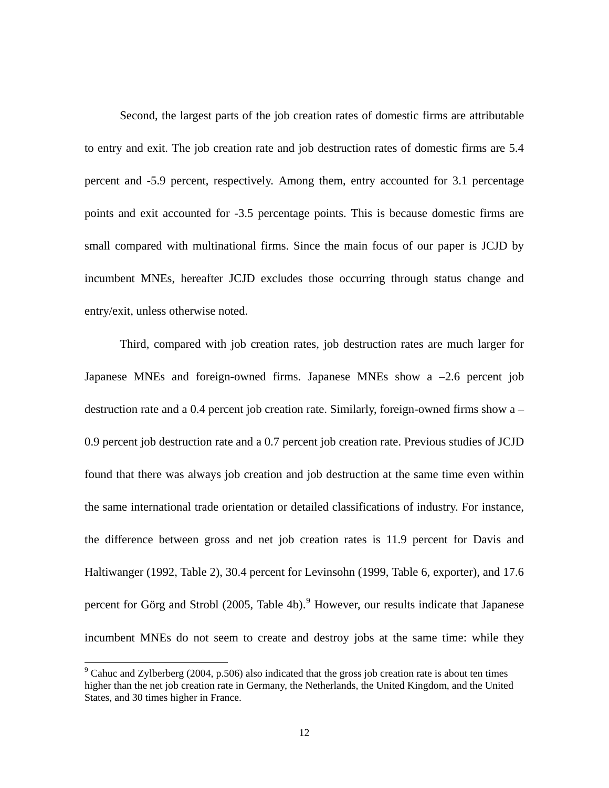Second, the largest parts of the job creation rates of domestic firms are attributable to entry and exit. The job creation rate and job destruction rates of domestic firms are 5.4 percent and -5.9 percent, respectively. Among them, entry accounted for 3.1 percentage points and exit accounted for -3.5 percentage points. This is because domestic firms are small compared with multinational firms. Since the main focus of our paper is JCJD by incumbent MNEs, hereafter JCJD excludes those occurring through status change and entry/exit, unless otherwise noted.

Third, compared with job creation rates, job destruction rates are much larger for Japanese MNEs and foreign-owned firms. Japanese MNEs show a –2.6 percent job destruction rate and a 0.4 percent job creation rate. Similarly, foreign-owned firms show a – 0.9 percent job destruction rate and a 0.7 percent job creation rate. Previous studies of JCJD found that there was always job creation and job destruction at the same time even within the same international trade orientation or detailed classifications of industry. For instance, the difference between gross and net job creation rates is 11.9 percent for Davis and Haltiwanger (1992, Table 2), 30.4 percent for Levinsohn (1999, Table 6, exporter), and 17.6 percent for Görg and Strobl (2005, Table 4b).<sup>[9](#page-13-0)</sup> However, our results indicate that Japanese incumbent MNEs do not seem to create and destroy jobs at the same time: while they

<u>.</u>

<span id="page-13-0"></span> $9^9$  Cahuc and Zylberberg (2004, p.506) also indicated that the gross job creation rate is about ten times higher than the net job creation rate in Germany, the Netherlands, the United Kingdom, and the United States, and 30 times higher in France.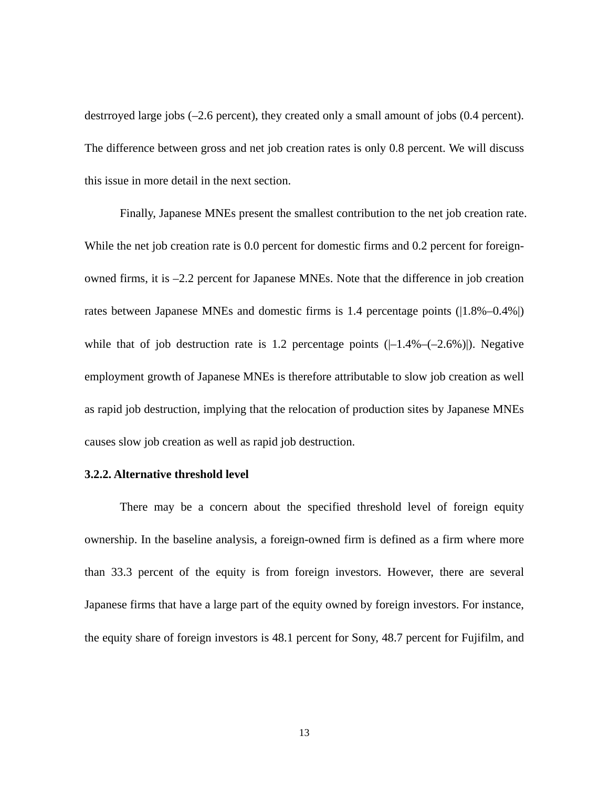destrroyed large jobs (–2.6 percent), they created only a small amount of jobs (0.4 percent). The difference between gross and net job creation rates is only 0.8 percent. We will discuss this issue in more detail in the next section.

Finally, Japanese MNEs present the smallest contribution to the net job creation rate. While the net job creation rate is 0.0 percent for domestic firms and 0.2 percent for foreignowned firms, it is –2.2 percent for Japanese MNEs. Note that the difference in job creation rates between Japanese MNEs and domestic firms is 1.4 percentage points (|1.8%–0.4%|) while that of job destruction rate is 1.2 percentage points  $([-1.4\% - (-2.6\%)]$ . Negative employment growth of Japanese MNEs is therefore attributable to slow job creation as well as rapid job destruction, implying that the relocation of production sites by Japanese MNEs causes slow job creation as well as rapid job destruction.

#### **3.2.2. Alternative threshold level**

There may be a concern about the specified threshold level of foreign equity ownership. In the baseline analysis, a foreign-owned firm is defined as a firm where more than 33.3 percent of the equity is from foreign investors. However, there are several Japanese firms that have a large part of the equity owned by foreign investors. For instance, the equity share of foreign investors is 48.1 percent for Sony, 48.7 percent for Fujifilm, and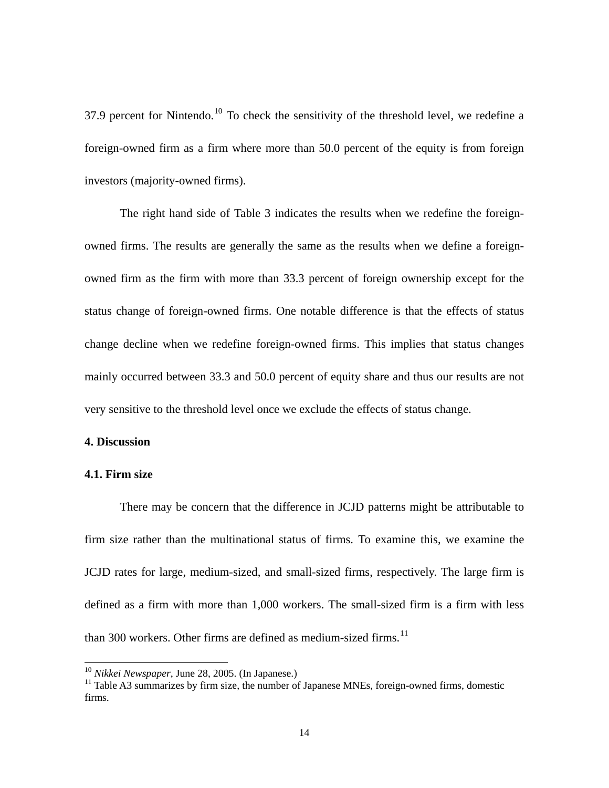37.9 percent for Nintendo.<sup>[10](#page-15-0)</sup> To check the sensitivity of the threshold level, we redefine a foreign-owned firm as a firm where more than 50.0 percent of the equity is from foreign investors (majority-owned firms).

The right hand side of Table 3 indicates the results when we redefine the foreignowned firms. The results are generally the same as the results when we define a foreignowned firm as the firm with more than 33.3 percent of foreign ownership except for the status change of foreign-owned firms. One notable difference is that the effects of status change decline when we redefine foreign-owned firms. This implies that status changes mainly occurred between 33.3 and 50.0 percent of equity share and thus our results are not very sensitive to the threshold level once we exclude the effects of status change.

#### **4. Discussion**

#### **4.1. Firm size**

<u>.</u>

There may be concern that the difference in JCJD patterns might be attributable to firm size rather than the multinational status of firms. To examine this, we examine the JCJD rates for large, medium-sized, and small-sized firms, respectively. The large firm is defined as a firm with more than 1,000 workers. The small-sized firm is a firm with less than 300 workers. Other firms are defined as medium-sized firms. $11$ 

<sup>10</sup> *Nikkei Newspaper*, June 28, 2005. (In Japanese.)

<span id="page-15-1"></span><span id="page-15-0"></span> $11$  Table A3 summarizes by firm size, the number of Japanese MNEs, foreign-owned firms, domestic firms.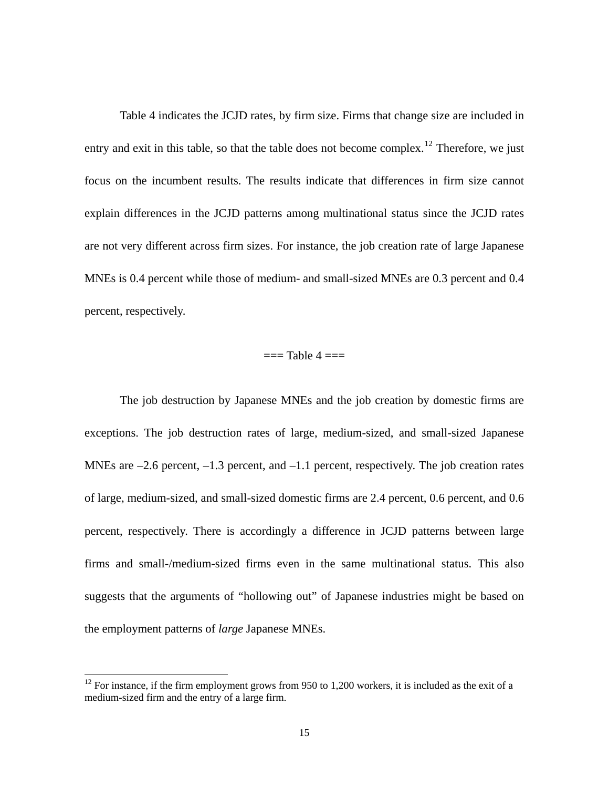Table 4 indicates the JCJD rates, by firm size. Firms that change size are included in entry and exit in this table, so that the table does not become complex.<sup>[12](#page-16-0)</sup> Therefore, we just focus on the incumbent results. The results indicate that differences in firm size cannot explain differences in the JCJD patterns among multinational status since the JCJD rates are not very different across firm sizes. For instance, the job creation rate of large Japanese MNEs is 0.4 percent while those of medium- and small-sized MNEs are 0.3 percent and 0.4 percent, respectively.

#### $==$ Table 4  $==$

The job destruction by Japanese MNEs and the job creation by domestic firms are exceptions. The job destruction rates of large, medium-sized, and small-sized Japanese MNEs are  $-2.6$  percent,  $-1.3$  percent, and  $-1.1$  percent, respectively. The job creation rates of large, medium-sized, and small-sized domestic firms are 2.4 percent, 0.6 percent, and 0.6 percent, respectively. There is accordingly a difference in JCJD patterns between large firms and small-/medium-sized firms even in the same multinational status. This also suggests that the arguments of "hollowing out" of Japanese industries might be based on the employment patterns of *large* Japanese MNEs.

-

<span id="page-16-0"></span> $12$  For instance, if the firm employment grows from 950 to 1,200 workers, it is included as the exit of a medium-sized firm and the entry of a large firm.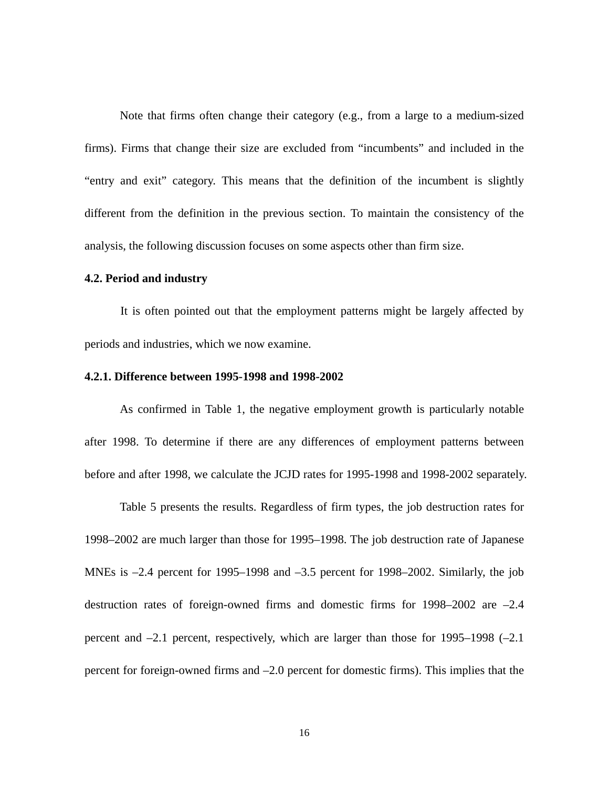Note that firms often change their category (e.g., from a large to a medium-sized firms). Firms that change their size are excluded from "incumbents" and included in the "entry and exit" category. This means that the definition of the incumbent is slightly different from the definition in the previous section. To maintain the consistency of the analysis, the following discussion focuses on some aspects other than firm size.

#### **4.2. Period and industry**

It is often pointed out that the employment patterns might be largely affected by periods and industries, which we now examine.

#### **4.2.1. Difference between 1995-1998 and 1998-2002**

As confirmed in Table 1, the negative employment growth is particularly notable after 1998. To determine if there are any differences of employment patterns between before and after 1998, we calculate the JCJD rates for 1995-1998 and 1998-2002 separately.

Table 5 presents the results. Regardless of firm types, the job destruction rates for 1998–2002 are much larger than those for 1995–1998. The job destruction rate of Japanese MNEs is  $-2.4$  percent for 1995–1998 and  $-3.5$  percent for 1998–2002. Similarly, the job destruction rates of foreign-owned firms and domestic firms for 1998–2002 are –2.4 percent and –2.1 percent, respectively, which are larger than those for 1995–1998 (–2.1 percent for foreign-owned firms and –2.0 percent for domestic firms). This implies that the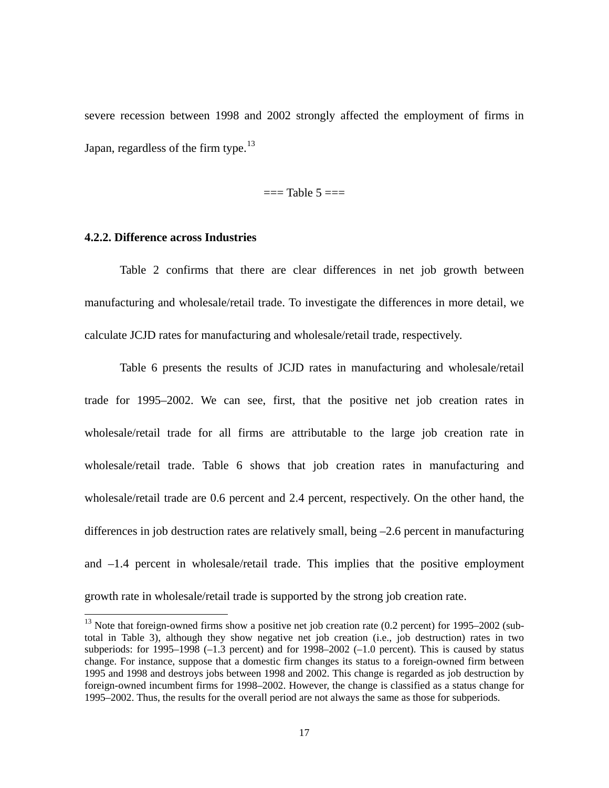severe recession between 1998 and 2002 strongly affected the employment of firms in Japan, regardless of the firm type.<sup>[13](#page-18-0)</sup>

 $==$ Table 5 $==$ 

#### **4.2.2. Difference across Industries**

-

Table 2 confirms that there are clear differences in net job growth between manufacturing and wholesale/retail trade. To investigate the differences in more detail, we calculate JCJD rates for manufacturing and wholesale/retail trade, respectively.

Table 6 presents the results of JCJD rates in manufacturing and wholesale/retail trade for 1995–2002. We can see, first, that the positive net job creation rates in wholesale/retail trade for all firms are attributable to the large job creation rate in wholesale/retail trade. Table 6 shows that job creation rates in manufacturing and wholesale/retail trade are 0.6 percent and 2.4 percent, respectively. On the other hand, the differences in job destruction rates are relatively small, being –2.6 percent in manufacturing and –1.4 percent in wholesale/retail trade. This implies that the positive employment growth rate in wholesale/retail trade is supported by the strong job creation rate.

<span id="page-18-0"></span> $13$  Note that foreign-owned firms show a positive net job creation rate (0.2 percent) for 1995–2002 (subtotal in Table 3), although they show negative net job creation (i.e., job destruction) rates in two subperiods: for 1995–1998 (–1.3 percent) and for 1998–2002 (–1.0 percent). This is caused by status change. For instance, suppose that a domestic firm changes its status to a foreign-owned firm between 1995 and 1998 and destroys jobs between 1998 and 2002. This change is regarded as job destruction by foreign-owned incumbent firms for 1998–2002. However, the change is classified as a status change for 1995–2002. Thus, the results for the overall period are not always the same as those for subperiods.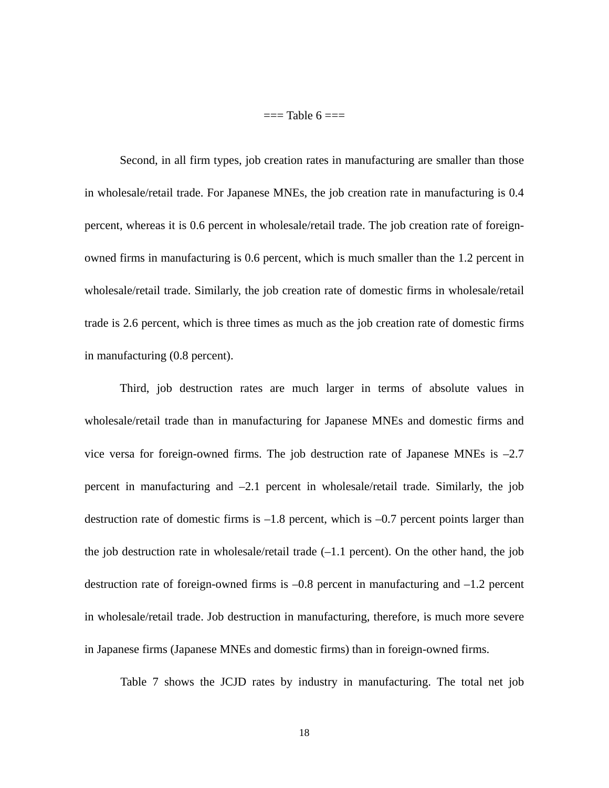$==$ Table  $6 ==$ 

Second, in all firm types, job creation rates in manufacturing are smaller than those in wholesale/retail trade. For Japanese MNEs, the job creation rate in manufacturing is 0.4 percent, whereas it is 0.6 percent in wholesale/retail trade. The job creation rate of foreignowned firms in manufacturing is 0.6 percent, which is much smaller than the 1.2 percent in wholesale/retail trade. Similarly, the job creation rate of domestic firms in wholesale/retail trade is 2.6 percent, which is three times as much as the job creation rate of domestic firms in manufacturing (0.8 percent).

Third, job destruction rates are much larger in terms of absolute values in wholesale/retail trade than in manufacturing for Japanese MNEs and domestic firms and vice versa for foreign-owned firms. The job destruction rate of Japanese MNEs is –2.7 percent in manufacturing and –2.1 percent in wholesale/retail trade. Similarly, the job destruction rate of domestic firms is –1.8 percent, which is –0.7 percent points larger than the job destruction rate in wholesale/retail trade  $(-1.1$  percent). On the other hand, the job destruction rate of foreign-owned firms is –0.8 percent in manufacturing and –1.2 percent in wholesale/retail trade. Job destruction in manufacturing, therefore, is much more severe in Japanese firms (Japanese MNEs and domestic firms) than in foreign-owned firms.

Table 7 shows the JCJD rates by industry in manufacturing. The total net job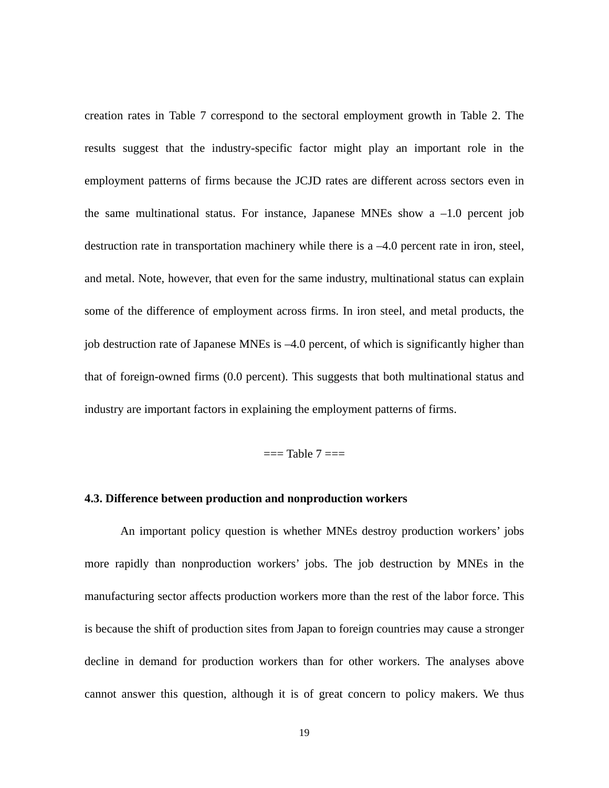creation rates in Table 7 correspond to the sectoral employment growth in Table 2. The results suggest that the industry-specific factor might play an important role in the employment patterns of firms because the JCJD rates are different across sectors even in the same multinational status. For instance, Japanese MNEs show a  $-1.0$  percent job destruction rate in transportation machinery while there is a –4.0 percent rate in iron, steel, and metal. Note, however, that even for the same industry, multinational status can explain some of the difference of employment across firms. In iron steel, and metal products, the job destruction rate of Japanese MNEs is –4.0 percent, of which is significantly higher than that of foreign-owned firms (0.0 percent). This suggests that both multinational status and industry are important factors in explaining the employment patterns of firms.

 $==$ Table  $7 ==$ 

#### **4.3. Difference between production and nonproduction workers**

An important policy question is whether MNEs destroy production workers' jobs more rapidly than nonproduction workers' jobs. The job destruction by MNEs in the manufacturing sector affects production workers more than the rest of the labor force. This is because the shift of production sites from Japan to foreign countries may cause a stronger decline in demand for production workers than for other workers. The analyses above cannot answer this question, although it is of great concern to policy makers. We thus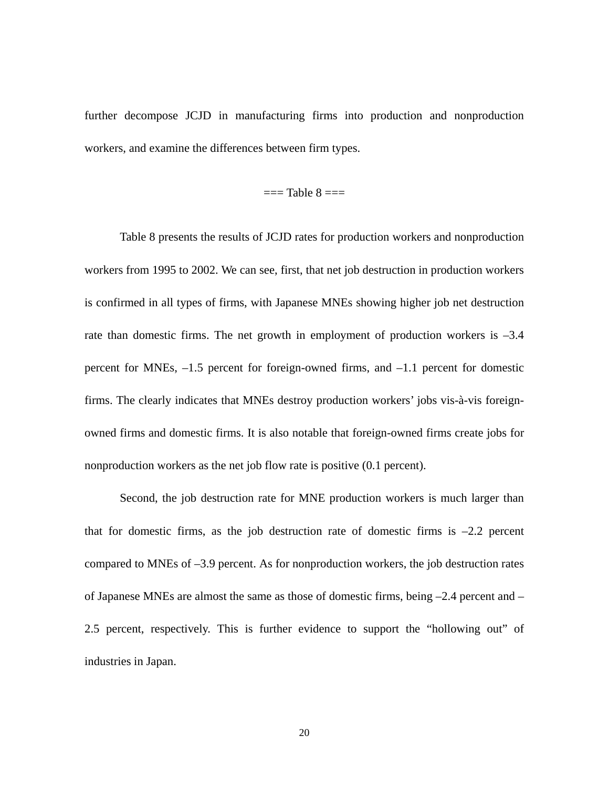further decompose JCJD in manufacturing firms into production and nonproduction workers, and examine the differences between firm types.

#### $==$ Table  $8 ==$

Table 8 presents the results of JCJD rates for production workers and nonproduction workers from 1995 to 2002. We can see, first, that net job destruction in production workers is confirmed in all types of firms, with Japanese MNEs showing higher job net destruction rate than domestic firms. The net growth in employment of production workers is –3.4 percent for MNEs, –1.5 percent for foreign-owned firms, and –1.1 percent for domestic firms. The clearly indicates that MNEs destroy production workers' jobs vis-à-vis foreignowned firms and domestic firms. It is also notable that foreign-owned firms create jobs for nonproduction workers as the net job flow rate is positive (0.1 percent).

Second, the job destruction rate for MNE production workers is much larger than that for domestic firms, as the job destruction rate of domestic firms is  $-2.2$  percent compared to MNEs of –3.9 percent. As for nonproduction workers, the job destruction rates of Japanese MNEs are almost the same as those of domestic firms, being –2.4 percent and – 2.5 percent, respectively. This is further evidence to support the "hollowing out" of industries in Japan.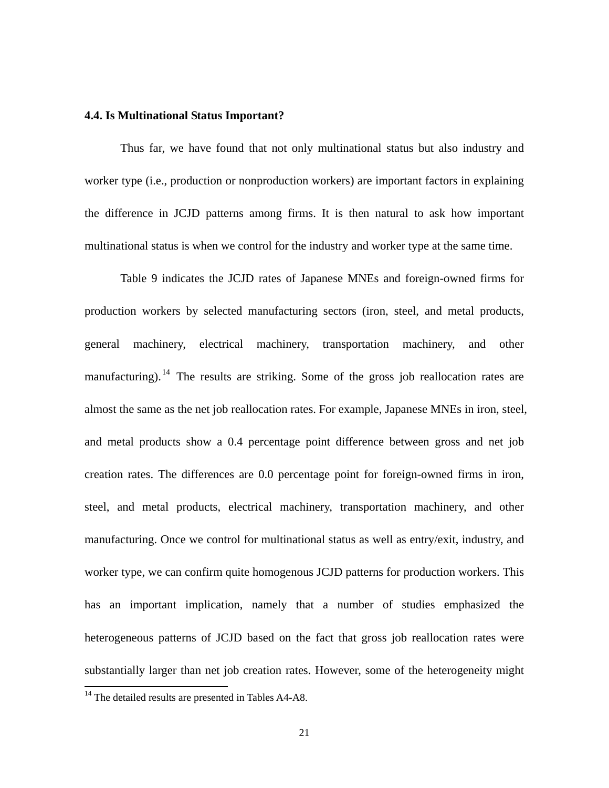#### **4.4. Is Multinational Status Important?**

Thus far, we have found that not only multinational status but also industry and worker type (i.e., production or nonproduction workers) are important factors in explaining the difference in JCJD patterns among firms. It is then natural to ask how important multinational status is when we control for the industry and worker type at the same time.

Table 9 indicates the JCJD rates of Japanese MNEs and foreign-owned firms for production workers by selected manufacturing sectors (iron, steel, and metal products, general machinery, electrical machinery, transportation machinery, and other manufacturing). <sup>[14](#page-22-0)</sup> The results are striking. Some of the gross job reallocation rates are almost the same as the net job reallocation rates. For example, Japanese MNEs in iron, steel, and metal products show a 0.4 percentage point difference between gross and net job creation rates. The differences are 0.0 percentage point for foreign-owned firms in iron, steel, and metal products, electrical machinery, transportation machinery, and other manufacturing. Once we control for multinational status as well as entry/exit, industry, and worker type, we can confirm quite homogenous JCJD patterns for production workers. This has an important implication, namely that a number of studies emphasized the heterogeneous patterns of JCJD based on the fact that gross job reallocation rates were substantially larger than net job creation rates. However, some of the heterogeneity might -

<span id="page-22-0"></span><sup>&</sup>lt;sup>14</sup> The detailed results are presented in Tables A4-A8.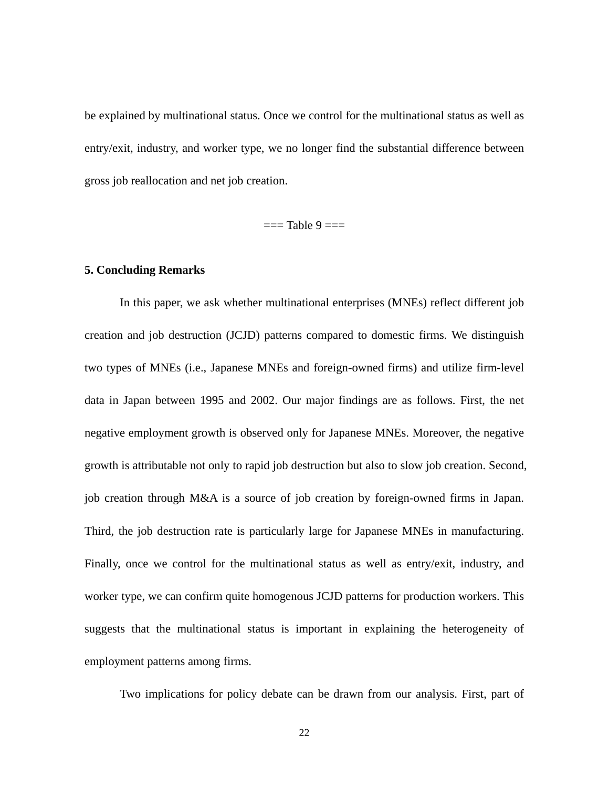be explained by multinational status. Once we control for the multinational status as well as entry/exit, industry, and worker type, we no longer find the substantial difference between gross job reallocation and net job creation.

 $==$ Table 9  $==$ 

#### **5. Concluding Remarks**

In this paper, we ask whether multinational enterprises (MNEs) reflect different job creation and job destruction (JCJD) patterns compared to domestic firms. We distinguish two types of MNEs (i.e., Japanese MNEs and foreign-owned firms) and utilize firm-level data in Japan between 1995 and 2002. Our major findings are as follows. First, the net negative employment growth is observed only for Japanese MNEs. Moreover, the negative growth is attributable not only to rapid job destruction but also to slow job creation. Second, job creation through M&A is a source of job creation by foreign-owned firms in Japan. Third, the job destruction rate is particularly large for Japanese MNEs in manufacturing. Finally, once we control for the multinational status as well as entry/exit, industry, and worker type, we can confirm quite homogenous JCJD patterns for production workers. This suggests that the multinational status is important in explaining the heterogeneity of employment patterns among firms.

Two implications for policy debate can be drawn from our analysis. First, part of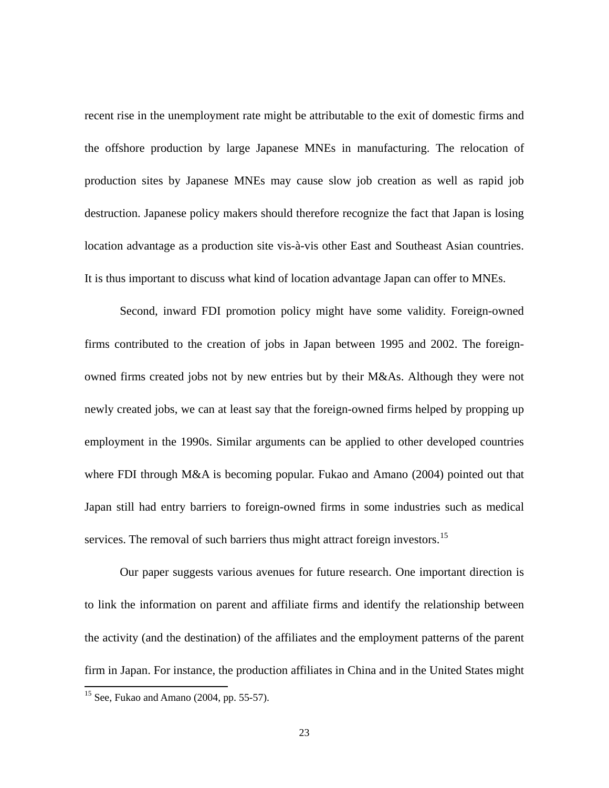recent rise in the unemployment rate might be attributable to the exit of domestic firms and the offshore production by large Japanese MNEs in manufacturing. The relocation of production sites by Japanese MNEs may cause slow job creation as well as rapid job destruction. Japanese policy makers should therefore recognize the fact that Japan is losing location advantage as a production site vis-à-vis other East and Southeast Asian countries. It is thus important to discuss what kind of location advantage Japan can offer to MNEs.

Second, inward FDI promotion policy might have some validity. Foreign-owned firms contributed to the creation of jobs in Japan between 1995 and 2002. The foreignowned firms created jobs not by new entries but by their M&As. Although they were not newly created jobs, we can at least say that the foreign-owned firms helped by propping up employment in the 1990s. Similar arguments can be applied to other developed countries where FDI through M&A is becoming popular. Fukao and Amano (2004) pointed out that Japan still had entry barriers to foreign-owned firms in some industries such as medical services. The removal of such barriers thus might attract foreign investors.<sup>[15](#page-24-0)</sup>

Our paper suggests various avenues for future research. One important direction is to link the information on parent and affiliate firms and identify the relationship between the activity (and the destination) of the affiliates and the employment patterns of the parent firm in Japan. For instance, the production affiliates in China and in the United States might -

<span id="page-24-0"></span> $15$  See, Fukao and Amano (2004, pp. 55-57).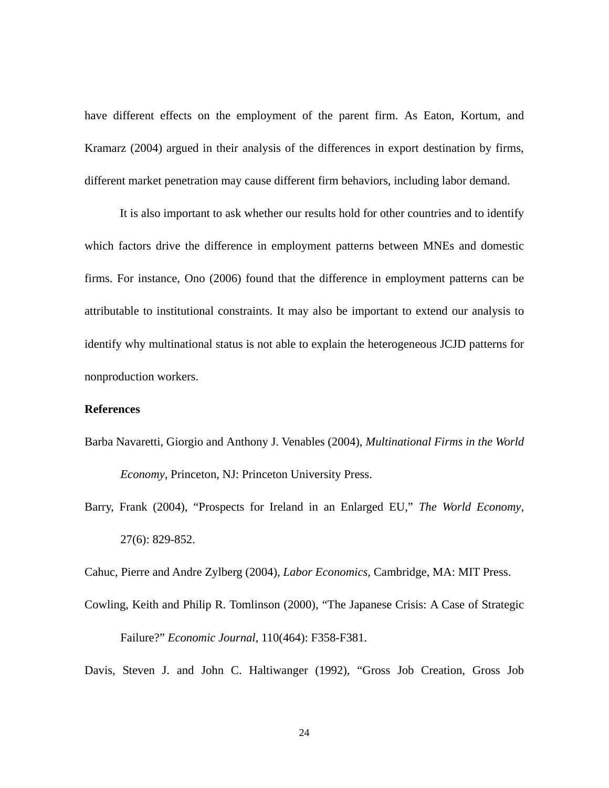have different effects on the employment of the parent firm. As Eaton, Kortum, and Kramarz (2004) argued in their analysis of the differences in export destination by firms, different market penetration may cause different firm behaviors, including labor demand.

It is also important to ask whether our results hold for other countries and to identify which factors drive the difference in employment patterns between MNEs and domestic firms. For instance, Ono (2006) found that the difference in employment patterns can be attributable to institutional constraints. It may also be important to extend our analysis to identify why multinational status is not able to explain the heterogeneous JCJD patterns for nonproduction workers.

#### **References**

Barba Navaretti, Giorgio and Anthony J. Venables (2004), *Multinational Firms in the World* 

*Economy*, Princeton, NJ: Princeton University Press.

Barry, Frank (2004), "Prospects for Ireland in an Enlarged EU," *The World Economy*, 27(6): 829-852.

Cahuc, Pierre and Andre Zylberg (2004), *Labor Economics*, Cambridge, MA: MIT Press.

Cowling, Keith and Philip R. Tomlinson (2000), "The Japanese Crisis: A Case of Strategic Failure?" *Economic Journal*, 110(464): F358-F381.

Davis, Steven J. and John C. Haltiwanger (1992), "Gross Job Creation, Gross Job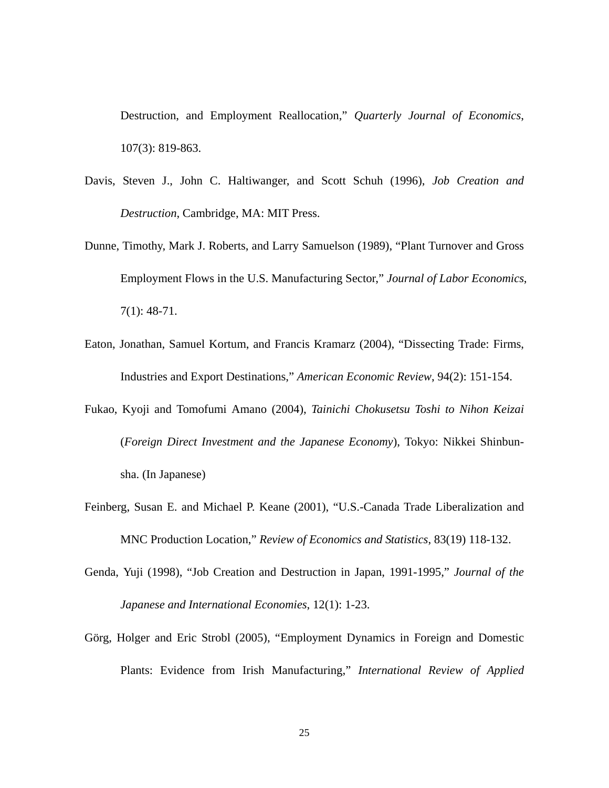Destruction, and Employment Reallocation," *Quarterly Journal of Economics*, 107(3): 819-863.

- Davis, Steven J., John C. Haltiwanger, and Scott Schuh (1996), *Job Creation and Destruction*, Cambridge, MA: MIT Press.
- Dunne, Timothy, Mark J. Roberts, and Larry Samuelson (1989), "Plant Turnover and Gross Employment Flows in the U.S. Manufacturing Sector," *Journal of Labor Economics*, 7(1): 48-71.
- Eaton, Jonathan, Samuel Kortum, and Francis Kramarz (2004), "Dissecting Trade: Firms, Industries and Export Destinations," *American Economic Review*, 94(2): 151-154.
- Fukao, Kyoji and Tomofumi Amano (2004), *Tainichi Chokusetsu Toshi to Nihon Keizai* (*Foreign Direct Investment and the Japanese Economy*), Tokyo: Nikkei Shinbunsha. (In Japanese)
- Feinberg, Susan E. and Michael P. Keane (2001), "U.S.-Canada Trade Liberalization and MNC Production Location," *Review of Economics and Statistics*, 83(19) 118-132.
- Genda, Yuji (1998), "Job Creation and Destruction in Japan, 1991-1995," *Journal of the Japanese and International Economies*, 12(1): 1-23.
- Görg, Holger and Eric Strobl (2005), "Employment Dynamics in Foreign and Domestic Plants: Evidence from Irish Manufacturing," *International Review of Applied*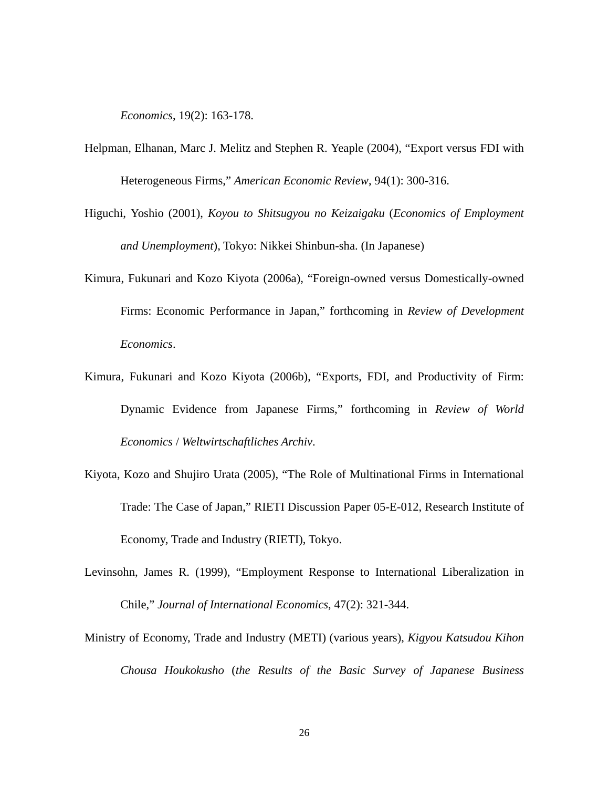*Economics*, 19(2): 163-178.

- Helpman, Elhanan, Marc J. Melitz and Stephen R. Yeaple (2004), "Export versus FDI with Heterogeneous Firms," *American Economic Review*, 94(1): 300-316.
- Higuchi, Yoshio (2001), *Koyou to Shitsugyou no Keizaigaku* (*Economics of Employment and Unemployment*), Tokyo: Nikkei Shinbun-sha. (In Japanese)
- Kimura, Fukunari and Kozo Kiyota (2006a), "Foreign-owned versus Domestically-owned Firms: Economic Performance in Japan," forthcoming in *Review of Development Economics*.
- Kimura, Fukunari and Kozo Kiyota (2006b), "Exports, FDI, and Productivity of Firm: Dynamic Evidence from Japanese Firms," forthcoming in *Review of World Economics* / *Weltwirtschaftliches Archiv*.
- Kiyota, Kozo and Shujiro Urata (2005), "The Role of Multinational Firms in International Trade: The Case of Japan," RIETI Discussion Paper 05-E-012, Research Institute of Economy, Trade and Industry (RIETI), Tokyo.
- Levinsohn, James R. (1999), "Employment Response to International Liberalization in Chile," *Journal of International Economics*, 47(2): 321-344.
- Ministry of Economy, Trade and Industry (METI) (various years), *Kigyou Katsudou Kihon Chousa Houkokusho* (*the Results of the Basic Survey of Japanese Business*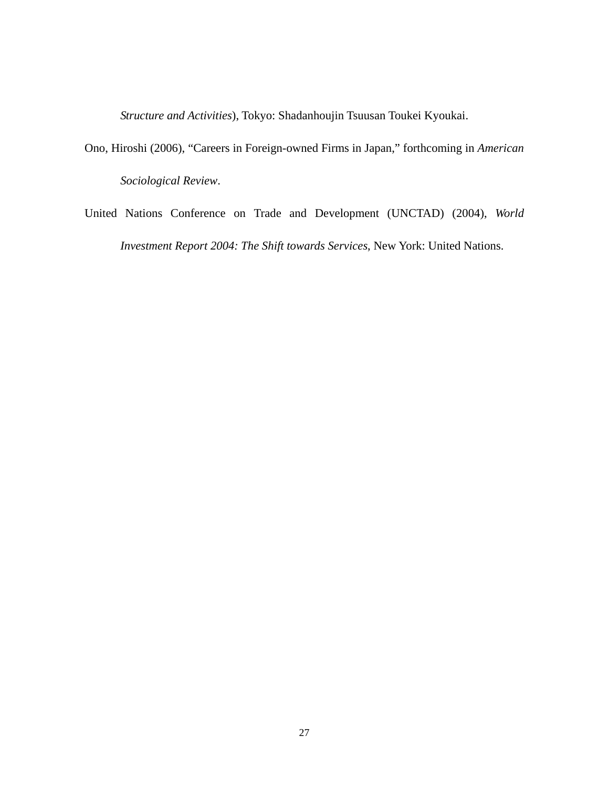*Structure and Activities*), Tokyo: Shadanhoujin Tsuusan Toukei Kyoukai.

- Ono, Hiroshi (2006), "Careers in Foreign-owned Firms in Japan," forthcoming in *American Sociological Review*.
- United Nations Conference on Trade and Development (UNCTAD) (2004), *World Investment Report 2004: The Shift towards Services*, New York: United Nations.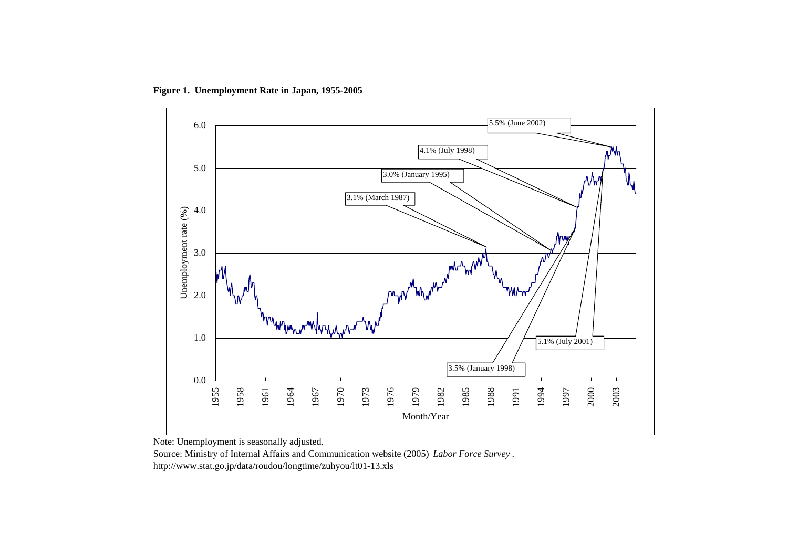

**Figure 1. Unemployment Rate in Japan, 1955-2005**

Note: Unemployment is seasonally adjusted.

Source: Ministry of Internal Affairs and Communication website (2005) *Labor Force Survey* . http://www.stat.go.jp/data/roudou/longtime/zuhyou/lt01-13.xls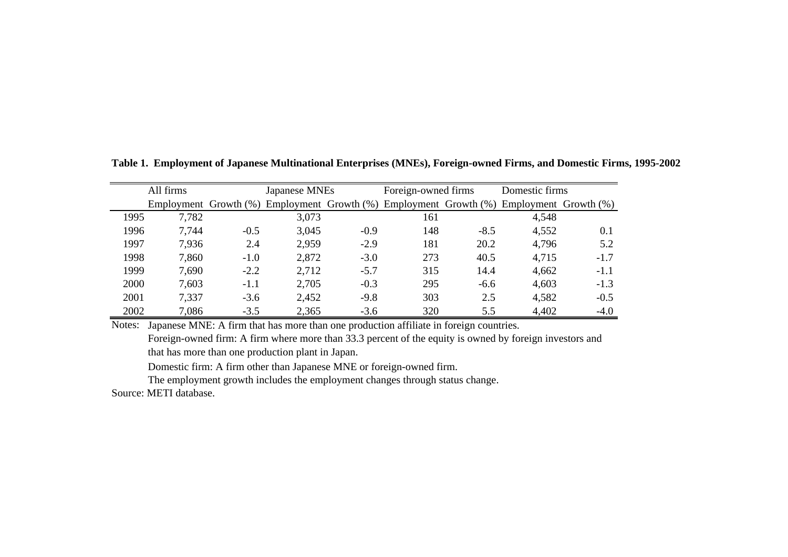|      | All firms |        | Japanese MNEs |        | Foreign-owned firms |        | Domestic firms                                                                                      |        |  |
|------|-----------|--------|---------------|--------|---------------------|--------|-----------------------------------------------------------------------------------------------------|--------|--|
|      |           |        |               |        |                     |        | Employment Growth $(\%)$ Employment Growth $(\%)$ Employment Growth $(\%)$ Employment Growth $(\%)$ |        |  |
| 1995 | 7,782     |        | 3,073         |        | 161                 |        | 4,548                                                                                               |        |  |
| 1996 | 7,744     | $-0.5$ | 3,045         | $-0.9$ | 148                 | $-8.5$ | 4,552                                                                                               | 0.1    |  |
| 1997 | 7,936     | 2.4    | 2,959         | $-2.9$ | 181                 | 20.2   | 4,796                                                                                               | 5.2    |  |
| 1998 | 7,860     | $-1.0$ | 2,872         | $-3.0$ | 273                 | 40.5   | 4,715                                                                                               | $-1.7$ |  |
| 1999 | 7,690     | $-2.2$ | 2,712         | $-5.7$ | 315                 | 14.4   | 4,662                                                                                               | $-1.1$ |  |
| 2000 | 7,603     | $-1.1$ | 2,705         | $-0.3$ | 295                 | $-6.6$ | 4,603                                                                                               | $-1.3$ |  |
| 2001 | 7,337     | $-3.6$ | 2,452         | $-9.8$ | 303                 | 2.5    | 4,582                                                                                               | $-0.5$ |  |
| 2002 | 7,086     | $-3.5$ | 2,365         | $-3.6$ | 320                 | 5.5    | 4,402                                                                                               | $-4.0$ |  |

**Table 1. Employment of Japanese Multinational Enterprises (MNEs), Foreign-owned Firms, and Domestic Firms, 1995-2002**

Notes: Japanese MNE: A firm that has more than one production affiliate in foreign countries. Foreign-owned firm: A firm where more than 33.3 percent of the equity is owned by foreign investors and that has more than one production plant in Japan.

Domestic firm: A firm other than Japanese MNE or foreign-owned firm.

The employment growth includes the employment changes through status change.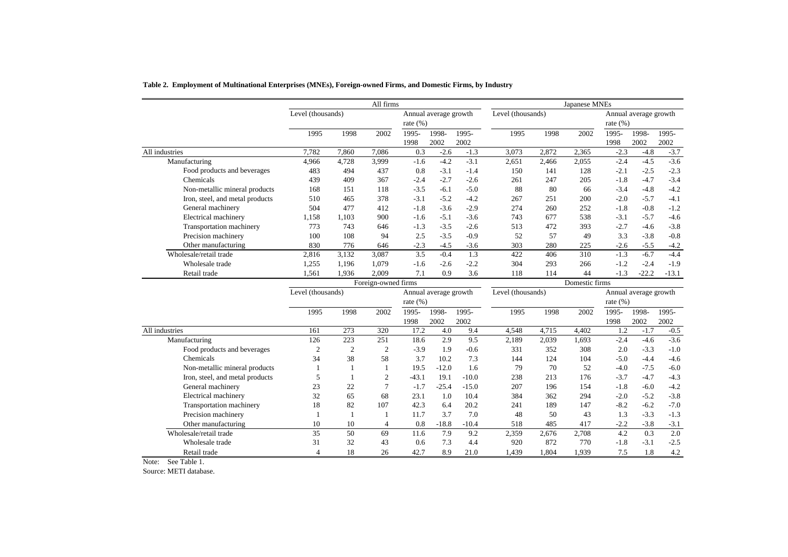|                                 | All firms         |                |                     |              |                       | Japanese MNEs |                   |       |                |             |                       |         |
|---------------------------------|-------------------|----------------|---------------------|--------------|-----------------------|---------------|-------------------|-------|----------------|-------------|-----------------------|---------|
|                                 | Level (thousands) |                |                     |              | Annual average growth |               | Level (thousands) |       |                |             | Annual average growth |         |
|                                 |                   |                |                     | rate $(\% )$ |                       |               |                   |       |                | rate $(\%)$ |                       |         |
|                                 | 1995              | 1998           | 2002                | 1995-        | 1998-                 | 1995-         | 1995              | 1998  | 2002           | 1995-       | 1998-                 | 1995-   |
|                                 |                   |                |                     | 1998         | 2002                  | 2002          |                   |       |                | 1998        | 2002                  | 2002    |
| All industries                  | 7.782             | 7,860          | 7,086               | 0.3          | $-2.6$                | $-1.3$        | 3,073             | 2,872 | 2,365          | $-2.3$      | $-4.8$                | $-3.7$  |
| Manufacturing                   | 4,966             | 4,728          | 3,999               | $-1.6$       | $-4.2$                | $-3.1$        | 2,651             | 2,466 | 2,055          | $-2.4$      | $-4.5$                | $-3.6$  |
| Food products and beverages     | 483               | 494            | 437                 | 0.8          | $-3.1$                | $-1.4$        | 150               | 141   | 128            | $-2.1$      | $-2.5$                | $-2.3$  |
| Chemicals                       | 439               | 409            | 367                 | $-2.4$       | $-2.7$                | $-2.6$        | 261               | 247   | 205            | $-1.8$      | $-4.7$                | $-3.4$  |
| Non-metallic mineral products   | 168               | 151            | 118                 | $-3.5$       | $-6.1$                | $-5.0$        | 88                | 80    | 66             | $-3.4$      | $-4.8$                | $-4.2$  |
| Iron, steel, and metal products | 510               | 465            | 378                 | $-3.1$       | $-5.2$                | $-4.2$        | 267               | 251   | 200            | $-2.0$      | $-5.7$                | $-4.1$  |
| General machinery               | 504               | 477            | 412                 | $-1.8$       | $-3.6$                | $-2.9$        | 274               | 260   | 252            | $-1.8$      | $-0.8$                | $-1.2$  |
| Electrical machinery            | 1,158             | 1,103          | 900                 | $-1.6$       | $-5.1$                | $-3.6$        | 743               | 677   | 538            | $-3.1$      | $-5.7$                | $-4.6$  |
| Transportation machinery        | 773               | 743            | 646                 | $-1.3$       | $-3.5$                | $-2.6$        | 513               | 472   | 393            | $-2.7$      | $-4.6$                | $-3.8$  |
| Precision machinery             | 100               | 108            | 94                  | 2.5          | $-3.5$                | $-0.9$        | 52                | 57    | 49             | 3.3         | $-3.8$                | $-0.8$  |
| Other manufacturing             | 830               | 776            | 646                 | $-2.3$       | $-4.5$                | $-3.6$        | 303               | 280   | 225            | $-2.6$      | $-5.5$                | $-4.2$  |
| Wholesale/retail trade          | 2,816             | 3,132          | 3,087               | 3.5          | $-0.4$                | 1.3           | 422               | 406   | 310            | $-1.3$      | $-6.7$                | $-4.4$  |
| Wholesale trade                 | 1,255             | 1,196          | 1,079               | $-1.6$       | $-2.6$                | $-2.2$        | 304               | 293   | 266            | $-1.2$      | $-2.4$                | $-1.9$  |
| Retail trade                    | 1,561             | 1,936          | 2,009               | 7.1          | 0.9                   | 3.6           | 118               | 114   | 44             | $-1.3$      | $-22.2$               | $-13.1$ |
|                                 |                   |                | Foreign-owned firms |              |                       |               |                   |       | Domestic firms |             |                       |         |
|                                 | Level (thousands) |                |                     |              | Annual average growth |               | Level (thousands) |       |                |             | Annual average growth |         |
|                                 |                   |                |                     | rate $(\% )$ |                       |               |                   |       |                | rate $(\%)$ |                       |         |
|                                 | 1995              | 1998           | 2002                | 1995-        | 1998-                 | 1995-         | 1995              | 1998  | 2002           | 1995-       | 1998-                 | 1995-   |
|                                 |                   |                |                     | 1998         | 2002                  | 2002          |                   |       |                | 1998        | 2002                  | 2002    |
| All industries                  | 161               | 273            | 320                 | 17.2         | 4.0                   | 9.4           | 4,548             | 4,715 | 4,402          | 1.2         | $-1.7$                | $-0.5$  |
| Manufacturing                   | 126               | 223            | 251                 | 18.6         | 2.9                   | 9.5           | 2,189             | 2,039 | 1,693          | $-2.4$      | $-4.6$                | $-3.6$  |
| Food products and beverages     | $\mathfrak{2}$    | $\overline{2}$ | $\mathfrak{2}$      | $-3.9$       | 1.9                   | $-0.6$        | 331               | 352   | 308            | 2.0         | $-3.3$                | $-1.0$  |
| Chemicals                       | 34                | 38             | 58                  | 3.7          | 10.2                  | 7.3           | 144               | 124   | 104            | $-5.0$      | $-4.4$                | $-4.6$  |
| Non-metallic mineral products   | -1                | -1             | 1                   | 19.5         | $-12.0$               | 1.6           | 79                | 70    | 52             | $-4.0$      | $-7.5$                | $-6.0$  |
| Iron, steel, and metal products | 5                 | 1              | $\overline{c}$      | $-43.1$      | 19.1                  | $-10.0$       | 238               | 213   | 176            | $-3.7$      | $-4.7$                | $-4.3$  |
| General machinery               | 23                | 22             | $\overline{7}$      | $-1.7$       | $-25.4$               | $-15.0$       | 207               | 196   | 154            | $-1.8$      | $-6.0$                | $-4.2$  |
| Electrical machinery            | 32                | 65             | 68                  | 23.1         | 1.0                   | 10.4          | 384               | 362   | 294            | $-2.0$      | $-5.2$                | $-3.8$  |
| Transportation machinery        | 18                | 82             | 107                 | 42.3         | 6.4                   | 20.2          | 241               | 189   | 147            | $-8.2$      | $-6.2$                | $-7.0$  |
| Precision machinery             | $\mathbf{1}$      | $\mathbf{1}$   |                     | 11.7         | 3.7                   | 7.0           | 48                | 50    | 43             | 1.3         | $-3.3$                | $-1.3$  |
| Other manufacturing             | 10                | 10             | $\overline{4}$      | 0.8          | $-18.8$               | $-10.4$       | 518               | 485   | 417            | $-2.2$      | $-3.8$                | $-3.1$  |
| Wholesale/retail trade          | 35                | 50             | 69                  | 11.6         | 7.9                   | 9.2           | 2,359             | 2,676 | 2,708          | 4.2         | 0.3                   | 2.0     |
| Wholesale trade                 | 31                | 32             | 43                  | 0.6          | 7.3                   | 4.4           | 920               | 872   | 770            | $-1.8$      | $-3.1$                | $-2.5$  |
| Retail trade                    | $\overline{4}$    | 18             | 26                  | 42.7         | 8.9                   | 21.0          | 1,439             | 1,804 | 1,939          | 7.5         | 1.8                   | 4.2     |

**Table 2. Employment of Multinational Enterprises (MNEs), Foreign-owned Firms, and Domestic Firms, by Industry**

Note: See Table 1.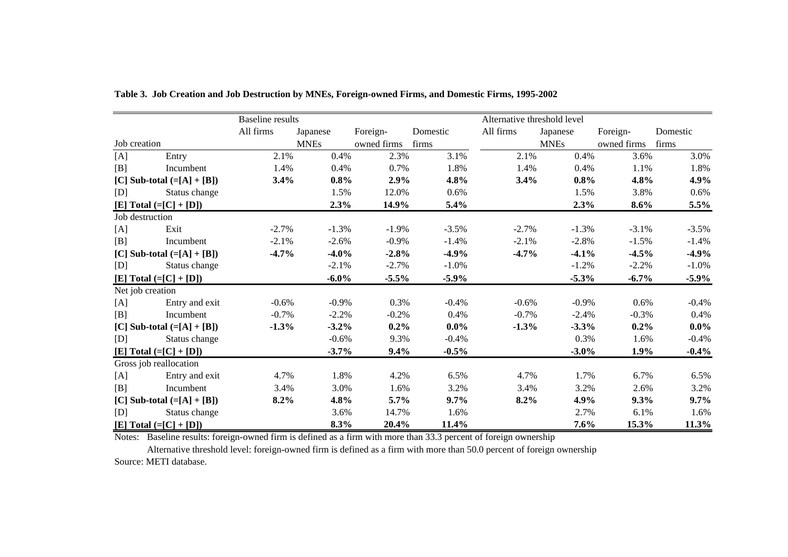|     |                              | <b>Baseline</b> results |             |             |          | Alternative threshold level |             |             |          |
|-----|------------------------------|-------------------------|-------------|-------------|----------|-----------------------------|-------------|-------------|----------|
|     |                              | All firms               | Japanese    | Foreign-    | Domestic | All firms                   | Japanese    | Foreign-    | Domestic |
|     | Job creation                 |                         | <b>MNEs</b> | owned firms | firms    |                             | <b>MNEs</b> | owned firms | firms    |
| [A] | Entry                        | 2.1%                    | 0.4%        | 2.3%        | 3.1%     | 2.1%                        | 0.4%        | 3.6%        | 3.0%     |
| [B] | Incumbent                    | 1.4%                    | 0.4%        | 0.7%        | 1.8%     | 1.4%                        | 0.4%        | 1.1%        | 1.8%     |
|     | [C] Sub-total $(=[A] + [B])$ | 3.4%                    | $0.8\%$     | 2.9%        | 4.8%     | 3.4%                        | 0.8%        | 4.8%        | 4.9%     |
| [D] | Status change                |                         | 1.5%        | 12.0%       | 0.6%     |                             | 1.5%        | 3.8%        | $0.6\%$  |
|     | [E] Total $(=[C]+[D])$       |                         | 2.3%        | 14.9%       | 5.4%     |                             | 2.3%        | $8.6\%$     | 5.5%     |
|     | Job destruction              |                         |             |             |          |                             |             |             |          |
| [A] | Exit                         | $-2.7%$                 | $-1.3%$     | $-1.9%$     | $-3.5%$  | $-2.7%$                     | $-1.3%$     | $-3.1%$     | $-3.5%$  |
| [B] | Incumbent                    | $-2.1%$                 | $-2.6%$     | $-0.9%$     | $-1.4%$  | $-2.1%$                     | $-2.8%$     | $-1.5%$     | $-1.4%$  |
|     | [C] Sub-total $(=[A] + [B])$ | $-4.7\%$                | $-4.0\%$    | $-2.8%$     | $-4.9%$  | $-4.7\%$                    | $-4.1\%$    | $-4.5\%$    | $-4.9\%$ |
| [D] | Status change                |                         | $-2.1%$     | $-2.7%$     | $-1.0\%$ |                             | $-1.2\%$    | $-2.2\%$    | $-1.0\%$ |
|     | [E] Total $(=[C]+[D])$       |                         | $-6.0\%$    | $-5.5%$     | $-5.9\%$ |                             | $-5.3\%$    | $-6.7\%$    | $-5.9\%$ |
|     | Net job creation             |                         |             |             |          |                             |             |             |          |
| [A] | Entry and exit               | $-0.6%$                 | $-0.9\%$    | 0.3%        | $-0.4%$  | $-0.6%$                     | $-0.9\%$    | 0.6%        | $-0.4\%$ |
| [B] | Incumbent                    | $-0.7\%$                | $-2.2%$     | $-0.2\%$    | 0.4%     | $-0.7\%$                    | $-2.4%$     | $-0.3%$     | 0.4%     |
|     | [C] Sub-total $(=[A] + [B])$ | $-1.3%$                 | $-3.2\%$    | $0.2\%$     | $0.0\%$  | $-1.3%$                     | $-3.3%$     | $0.2\%$     | $0.0\%$  |
| [D] | Status change                |                         | $-0.6%$     | 9.3%        | $-0.4%$  |                             | 0.3%        | 1.6%        | $-0.4%$  |
|     | $[E] Total (= [C] + [D])$    |                         | $-3.7%$     | 9.4%        | $-0.5\%$ |                             | $-3.0\%$    | $1.9\%$     | $-0.4\%$ |
|     | Gross job reallocation       |                         |             |             |          |                             |             |             |          |
| [A] | Entry and exit               | 4.7%                    | 1.8%        | 4.2%        | 6.5%     | 4.7%                        | 1.7%        | 6.7%        | 6.5%     |
| [B] | Incumbent                    | 3.4%                    | 3.0%        | 1.6%        | 3.2%     | 3.4%                        | 3.2%        | 2.6%        | 3.2%     |
|     | [C] Sub-total $(=[A] + [B])$ | $8.2\%$                 | 4.8%        | 5.7%        | $9.7\%$  | $8.2\%$                     | 4.9%        | 9.3%        | $9.7\%$  |
| [D] | Status change                |                         | 3.6%        | 14.7%       | 1.6%     |                             | 2.7%        | 6.1%        | 1.6%     |
|     | $[E] Total (= [C] + [D])$    |                         | 8.3%        | 20.4%       | 11.4%    |                             | 7.6%        | 15.3%       | 11.3%    |

**Table 3. Job Creation and Job Destruction by MNEs, Foreign-owned Firms, and Domestic Firms, 1995-2002**

Notes: Baseline results: foreign-owned firm is defined as a firm with more than 33.3 percent of foreign ownership

Alternative threshold level: foreign-owned firm is defined as a firm with more than 50.0 percent of foreign ownership Source: METI database.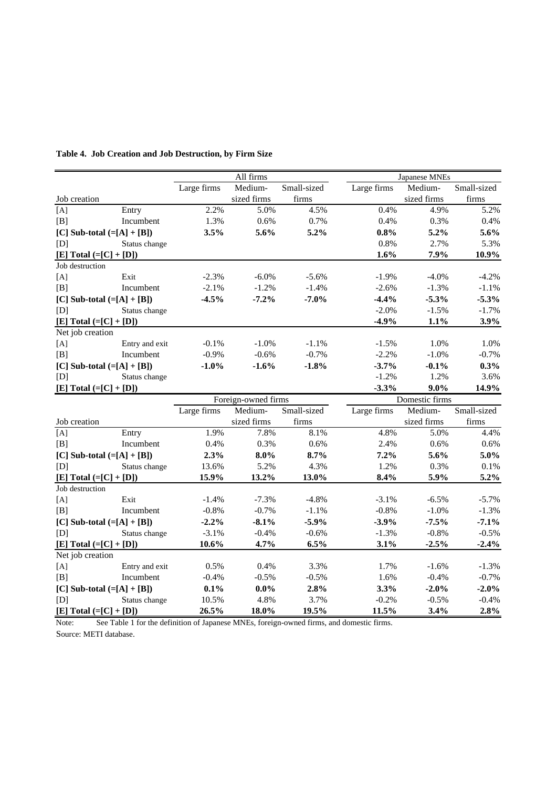|                              |                |             | All firms           |             |             | Japanese MNEs  |                   |
|------------------------------|----------------|-------------|---------------------|-------------|-------------|----------------|-------------------|
|                              |                | Large firms | Medium-             | Small-sized | Large firms | Medium-        | Small-sized       |
| Job creation                 |                |             | sized firms         | firms       |             | sized firms    | $_\mathrm{firms}$ |
| [A]                          | Entry          | 2.2%        | 5.0%                | 4.5%        | 0.4%        | 4.9%           | 5.2%              |
| [B]                          | Incumbent      | 1.3%        | 0.6%                | 0.7%        | 0.4%        | 0.3%           | 0.4%              |
| [C] Sub-total $(=[A] + [B])$ |                | 3.5%        | 5.6%                | 5.2%        | 0.8%        | 5.2%           | 5.6%              |
| [D]                          | Status change  |             |                     |             | 0.8%        | 2.7%           | 5.3%              |
| $[E] Total (= [C] + [D])$    |                |             |                     |             | 1.6%        | 7.9%           | 10.9%             |
| Job destruction              |                |             |                     |             |             |                |                   |
| [A]                          | Exit           | $-2.3%$     | $-6.0\%$            | $-5.6%$     | $-1.9%$     | $-4.0%$        | $-4.2%$           |
| [B]                          | Incumbent      | $-2.1%$     | $-1.2%$             | $-1.4%$     | $-2.6%$     | $-1.3%$        | $-1.1%$           |
| [C] Sub-total $(=[A] + [B])$ |                | $-4.5%$     | $-7.2%$             | $-7.0%$     | $-4.4%$     | $-5.3%$        | $-5.3%$           |
| [D]                          | Status change  |             |                     |             | $-2.0%$     | $-1.5%$        | $-1.7%$           |
| [E] Total $(=[C]+[D])$       |                |             |                     |             | $-4.9%$     | 1.1%           | 3.9%              |
| Net job creation             |                |             |                     |             |             |                |                   |
| [A]                          | Entry and exit | $-0.1%$     | $-1.0%$             | $-1.1%$     | $-1.5%$     | 1.0%           | 1.0%              |
| [B]                          | Incumbent      | $-0.9%$     | $-0.6%$             | $-0.7%$     | $-2.2%$     | $-1.0%$        | $-0.7%$           |
| [C] Sub-total $(=[A] + [B])$ |                | $-1.0%$     | $-1.6%$             | $-1.8%$     | $-3.7%$     | $-0.1%$        | 0.3%              |
| [D]                          | Status change  |             |                     |             | $-1.2%$     | 1.2%           | 3.6%              |
| [E] Total $(=[C] + [D])$     |                |             |                     |             | $-3.3%$     | $9.0\%$        | 14.9%             |
|                              |                |             | Foreign-owned firms |             |             | Domestic firms |                   |
|                              |                | Large firms | Medium-             | Small-sized | Large firms | Medium-        | Small-sized       |
| Job creation                 |                |             | sized firms         | firms       |             | sized firms    | firms             |
| [A]                          | Entry          | 1.9%        | 7.8%                | 8.1%        | 4.8%        | 5.0%           | 4.4%              |
| [B]                          | Incumbent      | 0.4%        | 0.3%                | 0.6%        | 2.4%        | 0.6%           | 0.6%              |
| [C] Sub-total $(=[A] + [B])$ |                | 2.3%        | $8.0\%$             | 8.7%        | 7.2%        | 5.6%           | 5.0%              |
| [D]                          | Status change  | 13.6%       | 5.2%                | 4.3%        | 1.2%        | 0.3%           | 0.1%              |
| $[E] Total (= [C] + [D])$    |                | 15.9%       | 13.2%               | 13.0%       | 8.4%        | 5.9%           | 5.2%              |
| Job destruction              |                |             |                     |             |             |                |                   |
| [A]                          | Exit           | $-1.4%$     | $-7.3%$             | $-4.8%$     | $-3.1%$     | $-6.5%$        | $-5.7\%$          |
| [B]                          | Incumbent      | $-0.8%$     | $-0.7%$             | $-1.1%$     | $-0.8%$     | $-1.0%$        | $-1.3%$           |
| [C] Sub-total $(=[A] + [B])$ |                | $-2.2%$     | $-8.1%$             | $-5.9%$     | $-3.9%$     | $-7.5%$        | $-7.1%$           |
| [D]                          | Status change  | $-3.1%$     | $-0.4%$             | $-0.6%$     | $-1.3%$     | $-0.8%$        | $-0.5%$           |
| $[E] Total (= [C] + [D])$    |                | 10.6%       | 4.7%                | 6.5%        | 3.1%        | $-2.5%$        | $-2.4%$           |
| Net job creation             |                |             |                     |             |             |                |                   |
| [A]                          | Entry and exit | 0.5%        | 0.4%                | 3.3%        | 1.7%        | $-1.6%$        | $-1.3%$           |
| [B]                          | Incumbent      | $-0.4%$     | $-0.5%$             | $-0.5%$     | 1.6%        | $-0.4%$        | $-0.7%$           |
| [C] Sub-total $(=[A]+[B])$   |                | 0.1%        | $0.0\%$             | 2.8%        | 3.3%        | $-2.0%$        | $-2.0%$           |
| [D]                          | Status change  | 10.5%       | 4.8%                | 3.7%        | $-0.2%$     | $-0.5%$        | $-0.4%$           |
| [E] Total $(=[C]+[D])$       |                | 26.5%       | 18.0%               | 19.5%       | 11.5%       | 3.4%           | 2.8%              |

#### **Table 4. Job Creation and Job Destruction, by Firm Size**

Note: See Table 1 for the definition of Japanese MNEs, foreign-owned firms, and domestic firms.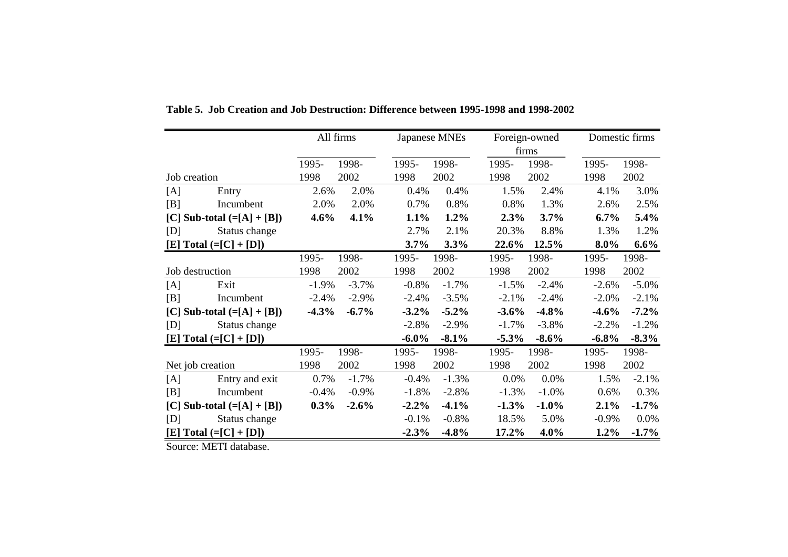|                              | All firms | Japanese MNEs       | Foreign-owned       | Domestic firms      |
|------------------------------|-----------|---------------------|---------------------|---------------------|
|                              |           |                     | firms               |                     |
|                              | 1998-     | 1995-               | 1998-               | 1995-               |
|                              | 1995-     | 1998-               | 1995-               | 1998-               |
| Job creation                 | 2002      | 2002                | 2002                | 2002                |
|                              | 1998      | 1998                | 1998                | 1998                |
| [A]                          | 2.0%      | 0.4%                | 1.5%                | 3.0%                |
| Entry                        | 2.6%      | 0.4%                | 2.4%                | 4.1%                |
| [B]                          | 2.0%      | 0.8%                | 1.3%                | 2.5%                |
| Incumbent                    | 2.0%      | 0.7%                | 0.8%                | 2.6%                |
| [C] Sub-total $(=[A] + [B])$ | 4.6%      | 1.2%                | 2.3%                | 5.4%                |
|                              | 4.1%      | 1.1%                | 3.7%                | $6.7\%$             |
| [D]                          |           | 2.7%                | 20.3%               | 1.3%                |
| Status change                |           | 2.1%                | 8.8%                | 1.2%                |
| $[E] Total (= [C] + [D])$    |           | 3.7%<br>3.3%        | 12.5%<br>22.6%      | 8.0%<br>$6.6\%$     |
|                              | 1998-     | 1998-               | 1998-               | 1998-               |
|                              | 1995-     | 1995-               | 1995-               | 1995-               |
| Job destruction              | 1998      | 1998                | 2002                | 2002                |
|                              | 2002      | 2002                | 1998                | 1998                |
| [A]                          | $-1.9%$   | $-0.8%$             | $-1.5%$             | $-5.0\%$            |
| Exit                         | $-3.7%$   | $-1.7\%$            | $-2.4%$             | $-2.6%$             |
| [B]                          | $-2.4%$   | $-2.4%$             | $-2.1%$             | $-2.1%$             |
| Incumbent                    | $-2.9\%$  | $-3.5%$             | $-2.4%$             | $-2.0\%$            |
| [C] Sub-total $(=[A] + [B])$ | $-4.3%$   | $-3.2\%$            | $-4.8%$             | $-4.6%$             |
|                              | $-6.7%$   | $-5.2\%$            | $-3.6%$             | $-7.2%$             |
| Status change                |           | $-2.8%$             | $-1.7%$             | $-1.2%$             |
| [D]                          |           | $-2.9\%$            | $-3.8%$             | $-2.2%$             |
| $[E] Total (= [C] + [D])$    |           | $-6.0\%$<br>$-8.1%$ | $-5.3%$<br>$-8.6\%$ | $-8.3%$<br>$-6.8\%$ |
|                              | 1998-     | 1998-               | 1998-               | 1998-               |
|                              | 1995-     | 1995-               | 1995-               | 1995-               |
| Net job creation             | 1998      | 1998                | 2002                | 2002                |
|                              | 2002      | 2002                | 1998                | 1998                |
| Entry and exit               | 0.7%      | $-1.3%$             | 0.0%                | $-2.1%$             |
| [A]                          | $-1.7%$   | $-0.4%$             | 0.0%                | 1.5%                |
| [B]                          | $-0.4%$   | $-2.8%$             | $-1.0%$             | 0.3%                |
| Incumbent                    | $-0.9\%$  | $-1.8%$             | $-1.3%$             | 0.6%                |
| [C] Sub-total $(=[A] + [B])$ | $0.3\%$   | $-2.2%$             | $-1.3%$             | 2.1%                |
|                              | $-2.6%$   | $-4.1%$             | $-1.0\%$            | $-1.7%$             |
| [D]                          |           | $-0.8%$             | 5.0%                | 0.0%                |
| Status change                |           | $-0.1%$             | 18.5%               | $-0.9\%$            |
| [E] Total $(=[C]+[D])$       |           | $-2.3%$<br>$-4.8%$  | 17.2%<br>4.0%       | $1.2\%$<br>$-1.7%$  |

**Table 5. Job Creation and Job Destruction: Difference between 1995-1998 and 1998-2002**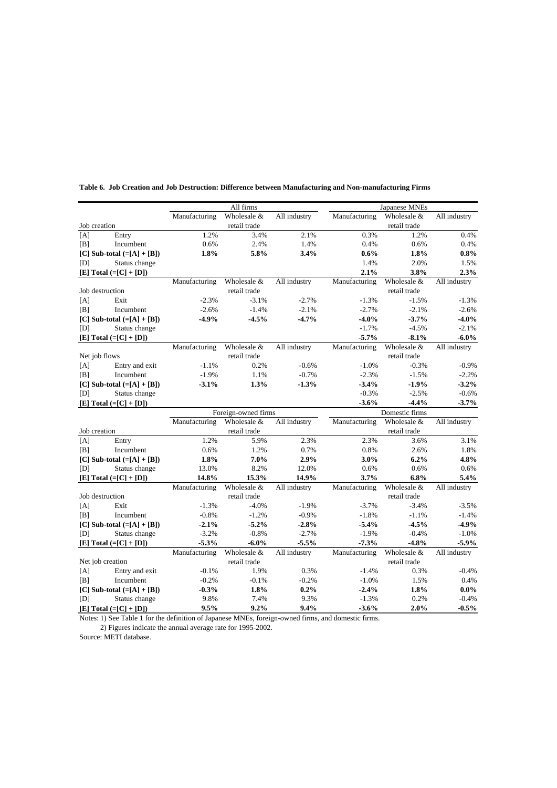|              |                                |               | All firms                          |              |               | Japanese MNEs  |              |
|--------------|--------------------------------|---------------|------------------------------------|--------------|---------------|----------------|--------------|
|              |                                | Manufacturing | Wholesale &                        | All industry | Manufacturing | Wholesale &    | All industry |
| Job creation |                                |               | retail trade                       |              |               | retail trade   |              |
| [A]          | Entry                          | 1.2%          | 3.4%                               | 2.1%         | 0.3%          | 1.2%           | 0.4%         |
| [B]          | Incumbent                      | 0.6%          | 2.4%                               | 1.4%         | 0.4%          | 0.6%           | 0.4%         |
|              | [C] Sub-total $(=[A] + [B])$   | 1.8%          | 5.8%                               | 3.4%         | 0.6%          | 1.8%           | 0.8%         |
| [D]          | Status change                  |               |                                    |              | 1.4%          | 2.0%           | 1.5%         |
|              | $[E] Total (= [C] + [D])$      |               |                                    |              | 2.1%          | 3.8%           | 2.3%         |
|              |                                | Manufacturing | Wholesale &                        | All industry | Manufacturing | Wholesale &    | All industry |
|              | Job destruction                |               | retail trade                       |              |               | retail trade   |              |
| [A]          | Exit                           | $-2.3%$       | $-3.1%$                            | $-2.7%$      | $-1.3%$       | $-1.5%$        | $-1.3%$      |
| [B]          | Incumbent                      | $-2.6%$       | $-1.4%$                            | $-2.1%$      | $-2.7%$       | $-2.1%$        | $-2.6%$      |
|              | $[C]$ Sub-total $(=[A] + [B])$ | $-4.9%$       | $-4.5%$                            | $-4.7%$      | $-4.0%$       | $-3.7%$        | $-4.0%$      |
| [D]          | Status change                  |               |                                    |              | $-1.7%$       | $-4.5%$        | $-2.1%$      |
|              | $[E] Total (= [C] + [D])$      |               |                                    |              | $-5.7%$       | $-8.1%$        | $-6.0\%$     |
|              |                                | Manufacturing | Wholesale &                        | All industry | Manufacturing | Wholesale &    | All industry |
|              | Net job flows                  |               | retail trade                       |              |               | retail trade   |              |
| [A]          | Entry and exit                 | $-1.1%$       | 0.2%                               | $-0.6%$      | $-1.0%$       | $-0.3%$        | $-0.9%$      |
| [B]          | Incumbent                      | $-1.9%$       | 1.1%                               | $-0.7%$      | $-2.3%$       | $-1.5%$        | $-2.2%$      |
|              | [C] Sub-total $(=[A]+[B])$     | $-3.1\%$      | 1.3%                               | $-1.3%$      | $-3.4%$       | $-1.9%$        | $-3.2%$      |
| [D]          | Status change                  |               |                                    |              | $-0.3%$       | $-2.5%$        | $-0.6%$      |
|              | [E] $Total (= [C] + [D])$      |               |                                    |              | $-3.6%$       | $-4.4%$        | $-3.7%$      |
|              |                                |               |                                    |              |               |                |              |
|              |                                |               |                                    |              |               | Domestic firms |              |
|              |                                | Manufacturing | Foreign-owned firms<br>Wholesale & | All industry | Manufacturing | Wholesale &    | All industry |
| Job creation |                                |               | retail trade                       |              |               | retail trade   |              |
| [A]          | Entry                          | 1.2%          | 5.9%                               | 2.3%         | 2.3%          | 3.6%           | 3.1%         |
| B            | Incumbent                      | 0.6%          | 1.2%                               | 0.7%         | 0.8%          | 2.6%           | 1.8%         |
|              | [C] Sub-total $(=[A] + [B])$   | 1.8%          | 7.0%                               | 2.9%         | $3.0\%$       | 6.2%           | 4.8%         |
| [D]          |                                | 13.0%         | 8.2%                               | 12.0%        | 0.6%          | 0.6%           | 0.6%         |
|              | Status change                  | 14.8%         | 15.3%                              | 14.9%        | 3.7%          | 6.8%           | 5.4%         |
|              | [E] Total $(=[C]+[D])$         | Manufacturing | Wholesale &                        | All industry | Manufacturing | Wholesale &    | All industry |
|              | Job destruction                |               | retail trade                       |              |               | retail trade   |              |
| [A]          | Exit                           | $-1.3%$       | $-4.0%$                            | $-1.9%$      | $-3.7%$       | $-3.4%$        | $-3.5%$      |
| B            | Incumbent                      | $-0.8%$       | $-1.2%$                            | $-0.9%$      | $-1.8%$       | $-1.1%$        | $-1.4%$      |
|              | $[CI Sub-total (= [A] + [B])]$ | $-2.1%$       | $-5.2%$                            | $-2.8%$      | $-5.4%$       | $-4.5%$        | $-4.9%$      |
| [D]          | Status change                  | $-3.2%$       | $-0.8%$                            | $-2.7%$      | $-1.9%$       | $-0.4%$        | $-1.0%$      |
|              | $[E] Total (= [C] + [D])$      | $-5.3%$       | $-6.0%$                            | $-5.5%$      | $-7.3%$       | $-4.8%$        | $-5.9%$      |
|              |                                | Manufacturing | Wholesale &                        | All industry | Manufacturing | Wholesale &    | All industry |
|              | Net job creation               |               | retail trade                       |              |               | retail trade   |              |
| [A]          | Entry and exit                 | $-0.1%$       | 1.9%                               | 0.3%         | $-1.4%$       | 0.3%           | $-0.4%$      |
| B            | Incumbent                      | $-0.2%$       | $-0.1%$                            | $-0.2%$      | $-1.0%$       | 1.5%           | 0.4%         |
|              | $[C]$ Sub-total $(=[A] + [B])$ | $-0.3\%$      | 1.8%                               | 0.2%         | $-2.4%$       | 1.8%           | $0.0\%$      |
| [D]          | Status change                  | 9.8%<br>9.5%  | 7.4%                               | 9.3%         | $-1.3%$       | 0.2%           | $-0.4%$      |

**Table 6. Job Creation and Job Destruction: Difference between Manufacturing and Non-manufacturing Firms**

Notes: 1) See Table 1 for the definition of Japanese MNEs, foreign-owned firms, and domestic firms.

2) Figures indicate the annual average rate for 1995-2002.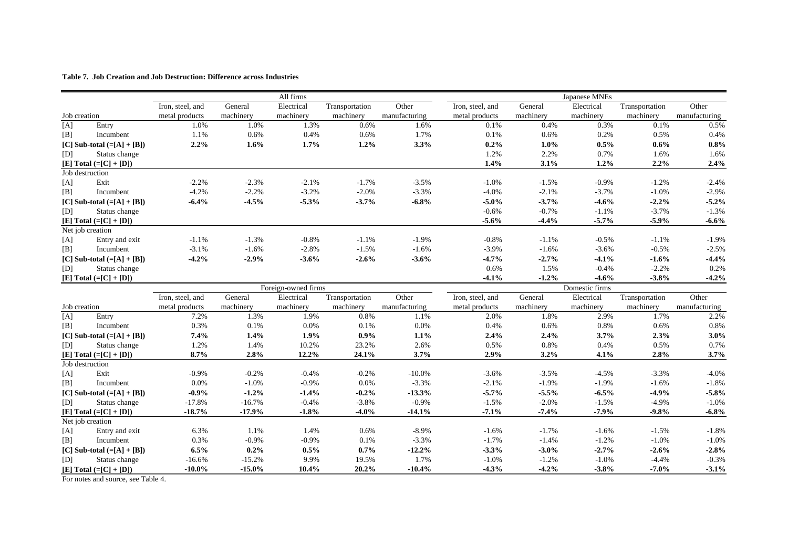#### **Table 7. Job Creation and Job Destruction: Difference across Industries**

|              |                                            |                       |                      | All firms           |                |                  |                    |                    | Japanese MNEs      |                    |                    |
|--------------|--------------------------------------------|-----------------------|----------------------|---------------------|----------------|------------------|--------------------|--------------------|--------------------|--------------------|--------------------|
|              |                                            | Iron, steel, and      | General              | Electrical          | Transportation | Other            | Iron, steel, and   | General            | Electrical         | Transportation     | Other              |
| Job creation |                                            | metal products        | machinery            | machinery           | machinery      | manufacturing    | metal products     | machinery          | machinery          | machinery          | manufacturing      |
| [A]          | Entry                                      | 1.0%                  | 1.0%                 | 1.3%                | 0.6%           | 1.6%             | 0.1%               | 0.4%               | 0.3%               | 0.1%               | 0.5%               |
| [B]          | Incumbent                                  | 1.1%                  | 0.6%                 | 0.4%                | 0.6%           | 1.7%             | 0.1%               | 0.6%               | 0.2%               | 0.5%               | 0.4%               |
|              | [C] Sub-total $(=[A] + [B])$               | 2.2%                  | 1.6%                 | 1.7%                | 1.2%           | 3.3%             | 0.2%               | $1.0\%$            | 0.5%               | 0.6%               | 0.8%               |
| [D]          | Status change                              |                       |                      |                     |                |                  | 1.2%               | 2.2%               | 0.7%               | 1.6%               | 1.6%               |
|              | $[E] Total (= [C] + [D])$                  |                       |                      |                     |                |                  | 1.4%               | 3.1%               | 1.2%               | 2.2%               | 2.4%               |
|              | Job destruction                            |                       |                      |                     |                |                  |                    |                    |                    |                    |                    |
| [A]          | Exit                                       | $-2.2%$               | $-2.3%$              | $-2.1%$             | $-1.7%$        | $-3.5%$          | $-1.0%$            | $-1.5%$            | $-0.9%$            | $-1.2%$            | $-2.4%$            |
| [B]          | Incumbent                                  | $-4.2%$               | $-2.2%$              | $-3.2%$             | $-2.0%$        | $-3.3%$          | $-4.0%$            | $-2.1%$            | $-3.7%$            | $-1.0%$            | $-2.9%$            |
|              | [C] Sub-total $(=[A]+[B])$                 | $-6.4%$               | $-4.5%$              | $-5.3%$             | $-3.7%$        | $-6.8%$          | $-5.0%$            | $-3.7%$            | $-4.6%$            | $-2.2%$            | $-5.2%$            |
| [D]          | Status change                              |                       |                      |                     |                |                  | $-0.6%$            | $-0.7%$            | $-1.1%$            | $-3.7%$            | $-1.3%$            |
|              | $[E] Total (= [C] + [D])$                  |                       |                      |                     |                |                  | $-5.6%$            | $-4.4%$            | $-5.7%$            | $-5.9%$            | $-6.6%$            |
|              | Net job creation                           |                       |                      |                     |                |                  |                    |                    |                    |                    |                    |
| [A]          | Entry and exit                             | $-1.1%$               | $-1.3%$              | $-0.8%$             | $-1.1%$        | $-1.9%$          | $-0.8%$            | $-1.1%$            | $-0.5%$            | $-1.1%$            | $-1.9%$            |
| [B]          | Incumbent                                  | $-3.1%$               | $-1.6%$              | $-2.8%$             | $-1.5%$        | $-1.6%$          | $-3.9%$            | $-1.6%$            | $-3.6%$            | $-0.5%$            | $-2.5%$            |
|              | [C] Sub-total $(=[A] + [B])$               | $-4.2%$               | $-2.9%$              | $-3.6%$             | $-2.6%$        | $-3.6%$          | $-4.7%$            | $-2.7%$            | $-4.1%$            | $-1.6%$            | $-4.4%$            |
| [D]          | Status change                              |                       |                      |                     |                |                  | 0.6%               | 1.5%               | $-0.4%$            | $-2.2%$            | 0.2%               |
|              | $[E] Total (= [C] + [D])$                  |                       |                      |                     |                |                  | $-4.1%$            | $-1.2%$            | $-4.6%$            | $-3.8%$            | $-4.2%$            |
|              |                                            |                       |                      | Foreign-owned firms |                |                  |                    |                    | Domestic firms     |                    |                    |
|              |                                            | Iron, steel, and      | General              | Electrical          | Transportation | Other            | Iron, steel, and   | General            | Electrical         | Transportation     | Other              |
| Job creation |                                            | metal products        | machinery            | machinery           | machinery      | manufacturing    | metal products     | machinery          | machinery          | machinery          | manufacturing      |
| [A]          | Entry                                      | 7.2%                  | 1.3%                 | 1.9%                | 0.8%           | 1.1%             | 2.0%               | 1.8%               | 2.9%               | 1.7%               | 2.2%               |
| [B]          | Incumbent                                  | 0.3%                  | 0.1%                 | 0.0%                | 0.1%           | 0.0%             | 0.4%               | 0.6%               | 0.8%               | 0.6%               | 0.8%               |
|              | [C] Sub-total $(=[A] + [B])$               | 7.4%                  | 1.4%                 | 1.9%                | $0.9\%$        | 1.1%             | 2.4%               | 2.4%               | 3.7%               | 2.3%               | 3.0%               |
| [D]          | Status change                              | 1.2%                  | 1.4%                 | 10.2%               | 23.2%          | 2.6%             | 0.5%               | 0.8%               | 0.4%               | 0.5%               | 0.7%               |
|              | [E] Total $(=[C]+[D])$                     | 8.7%                  | 2.8%                 | 12.2%               | 24.1%          | 3.7%             | 2.9%               | $3.2\%$            | 4.1%               | 2.8%               | 3.7%               |
|              | Job destruction                            |                       |                      |                     |                |                  |                    |                    |                    |                    |                    |
| [A]          | Exit                                       | $-0.9%$               | $-0.2%$              | $-0.4%$             | $-0.2%$        | $-10.0%$         | $-3.6%$            | $-3.5%$            | $-4.5%$            | $-3.3%$            | $-4.0%$            |
| [B]          | Incumbent                                  | 0.0%                  | $-1.0%$              | $-0.9%$             | 0.0%           | $-3.3%$          | $-2.1%$            | $-1.9%$            | $-1.9%$            | $-1.6%$            | $-1.8%$            |
|              | [C] Sub-total $(=[A] + [B])$               | $-0.9%$               | $-1.2%$              | $-1.4%$             | $-0.2%$        | $-13.3%$         | $-5.7%$            | $-5.5%$            | $-6.5%$            | $-4.9%$            | $-5.8%$            |
| [D]          | Status change                              | $-17.8%$              | $-16.7%$             | $-0.4%$             | $-3.8%$        | $-0.9%$          | $-1.5%$            | $-2.0%$            | $-1.5%$            | $-4.9%$            | $-1.0%$            |
|              | $[E] Total (= [C] + [D])$                  | $-18.7%$              | $-17.9%$             | $-1.8%$             | $-4.0%$        | $-14.1%$         | $-7.1%$            | $-7.4%$            | $-7.9%$            | $-9.8%$            | $-6.8%$            |
|              | Net job creation                           |                       |                      |                     |                |                  |                    |                    |                    |                    |                    |
| [A]          | Entry and exit                             | 6.3%                  | 1.1%                 | 1.4%                | 0.6%           | $-8.9%$          | $-1.6%$            | $-1.7%$            | $-1.6%$            | $-1.5%$            | $-1.8%$            |
| [B]          | Incumbent                                  | 0.3%                  | $-0.9\%$             | $-0.9\%$            | 0.1%           | $-3.3%$          | $-1.7%$            | $-1.4%$            | $-1.2%$            | $-1.0%$            | $-1.0%$            |
|              |                                            |                       |                      | 0.5%                | 0.7%           | $-12.2%$         | $-3.3%$            | $-3.0%$            | $-2.7%$            | $-2.6%$            | $-2.8%$            |
|              | [C] Sub-total $(=[A] + [B])$               | 6.5%                  | 0.2%                 |                     |                |                  |                    |                    |                    |                    |                    |
| [D]          | Status change<br>$[E] Total (= [C] + [D])$ | $-16.6%$<br>$-10.0\%$ | $-15.2%$<br>$-15.0%$ | 9.9%<br>10.4%       | 19.5%<br>20.2% | 1.7%<br>$-10.4%$ | $-1.0%$<br>$-4.3%$ | $-1.2%$<br>$-4.2%$ | $-1.0%$<br>$-3.8%$ | $-4.4%$<br>$-7.0%$ | $-0.3%$<br>$-3.1%$ |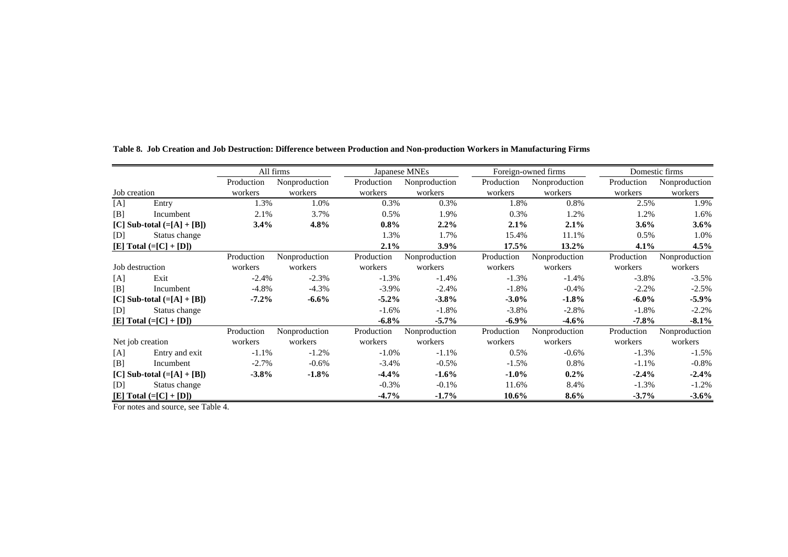|                  |                              |            | All firms     |            | Japanese MNEs |            | Foreign-owned firms |            | Domestic firms |
|------------------|------------------------------|------------|---------------|------------|---------------|------------|---------------------|------------|----------------|
|                  |                              | Production | Nonproduction | Production | Nonproduction | Production | Nonproduction       | Production | Nonproduction  |
| Job creation     |                              | workers    | workers       | workers    | workers       | workers    | workers             | workers    | workers        |
| [A]              | Entry                        | 1.3%       | 1.0%          | 0.3%       | 0.3%          | 1.8%       | 0.8%                | 2.5%       | 1.9%           |
| [B]              | Incumbent                    | 2.1%       | 3.7%          | $0.5\%$    | 1.9%          | 0.3%       | 1.2%                | 1.2%       | 1.6%           |
|                  | [C] Sub-total $(=[A] + [B])$ | 3.4%       | 4.8%          | $0.8\%$    | $2.2\%$       | 2.1%       | 2.1%                | $3.6\%$    | $3.6\%$        |
| [D]              | Status change                |            |               | 1.3%       | 1.7%          | 15.4%      | 11.1%               | 0.5%       | 1.0%           |
|                  | [E] Total $(=[C]+[D])$       |            |               | 2.1%       | 3.9%          | $17.5\%$   | $13.2\%$            | $4.1\%$    | $4.5\%$        |
|                  |                              | Production | Nonproduction | Production | Nonproduction | Production | Nonproduction       | Production | Nonproduction  |
| Job destruction  |                              | workers    | workers       | workers    | workers       | workers    | workers             | workers    | workers        |
| [A]              | Exit                         | $-2.4%$    | $-2.3%$       | $-1.3%$    | $-1.4%$       | $-1.3%$    | $-1.4%$             | $-3.8%$    | $-3.5%$        |
| [B]              | Incumbent                    | $-4.8%$    | $-4.3%$       | $-3.9\%$   | $-2.4%$       | $-1.8%$    | $-0.4%$             | $-2.2%$    | $-2.5%$        |
|                  | [C] Sub-total $(=[A]+[B])$   | $-7.2\%$   | $-6.6%$       | $-5.2\%$   | $-3.8%$       | $-3.0\%$   | $-1.8\%$            | $-6.0\%$   | $-5.9\%$       |
| [D]              | Status change                |            |               | $-1.6%$    | $-1.8%$       | $-3.8%$    | $-2.8%$             | $-1.8%$    | $-2.2%$        |
|                  | $[E] Total (= [C] + [D])$    |            |               | $-6.8\%$   | $-5.7\%$      | $-6.9\%$   | $-4.6%$             | $-7.8\%$   | $-8.1\%$       |
|                  |                              | Production | Nonproduction | Production | Nonproduction | Production | Nonproduction       | Production | Nonproduction  |
| Net job creation |                              | workers    | workers       | workers    | workers       | workers    | workers             | workers    | workers        |
| [A]              | Entry and exit               | $-1.1%$    | $-1.2\%$      | $-1.0\%$   | $-1.1%$       | 0.5%       | $-0.6\%$            | $-1.3%$    | $-1.5%$        |
| [B]              | Incumbent                    | $-2.7%$    | $-0.6\%$      | $-3.4%$    | $-0.5%$       | $-1.5%$    | 0.8%                | $-1.1%$    | $-0.8%$        |
|                  | [C] Sub-total $(=[A]+[B])$   | $-3.8\%$   | $-1.8%$       | $-4.4%$    | $-1.6%$       | $-1.0\%$   | $0.2\%$             | $-2.4%$    | $-2.4\%$       |
| [D]              | Status change                |            |               | $-0.3\%$   | $-0.1\%$      | 11.6%      | 8.4%                | $-1.3%$    | $-1.2%$        |
|                  | [E] Total $(=[C]+[D])$       |            |               | $-4.7\%$   | $-1.7%$       | 10.6%      | $8.6\%$             | $-3.7\%$   | $-3.6\%$       |

**Table 8. Job Creation and Job Destruction: Difference between Production and Non-production Workers in Manufacturing Firms**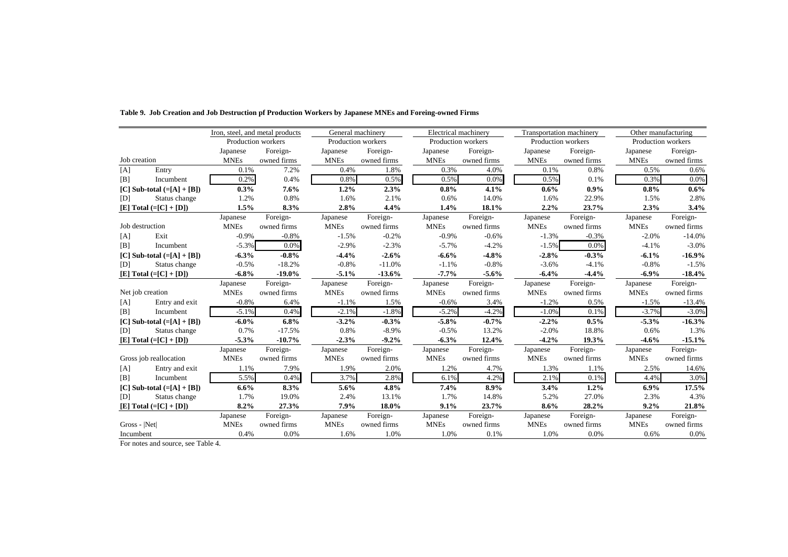|                  |                            | Iron, steel, and metal products |             | General machinery  |             | Electrical machinery |             | <b>Transportation machinery</b> |             |             | Other manufacturing |
|------------------|----------------------------|---------------------------------|-------------|--------------------|-------------|----------------------|-------------|---------------------------------|-------------|-------------|---------------------|
|                  |                            | Production workers              |             | Production workers |             | Production workers   |             | Production workers              |             |             | Production workers  |
|                  |                            | Japanese                        | Foreign-    | Japanese           | Foreign-    | Japanese             | Foreign-    | Japanese                        | Foreign-    | Japanese    | Foreign-            |
| Job creation     |                            | <b>MNEs</b>                     | owned firms | <b>MNEs</b>        | owned firms | <b>MNEs</b>          | owned firms | <b>MNEs</b>                     | owned firms | <b>MNEs</b> | owned firms         |
| [A]              | Entry                      | 0.1%                            | 7.2%        | 0.4%               | 1.8%        | 0.3%                 | 4.0%        | 0.1%                            | 0.8%        | 0.5%        | 0.6%                |
| B                | Incumbent                  | 0.2%                            | 0.4%        | 0.8%               | 0.5%        | 0.5%                 | 0.0%        | 0.5%                            | 0.1%        | 0.3%        | 0.0%                |
|                  | [C] Sub-total $(=[A]+[B])$ | 0.3%                            | 7.6%        | 1.2%               | 2.3%        | 0.8%                 | 4.1%        | $0.6\%$                         | $0.9\%$     | 0.8%        | $0.6\%$             |
| [D]              | Status change              | 1.2%                            | 0.8%        | 1.6%               | 2.1%        | 0.6%                 | 14.0%       | 1.6%                            | 22.9%       | 1.5%        | 2.8%                |
|                  | $[E] Total (= [C] + [D])$  | 1.5%                            | 8.3%        | 2.8%               | 4.4%        | 1.4%                 | 18.1%       | 2.2%                            | 23.7%       | 2.3%        | 3.4%                |
|                  |                            | Japanese                        | Foreign-    | Japanese           | Foreign-    | Japanese             | Foreign-    | Japanese                        | Foreign-    | Japanese    | Foreign-            |
| Job destruction  |                            | <b>MNEs</b>                     | owned firms | <b>MNEs</b>        | owned firms | <b>MNEs</b>          | owned firms | <b>MNEs</b>                     | owned firms | <b>MNEs</b> | owned firms         |
| [A]              | Exit                       | $-0.9\%$                        | $-0.8%$     | $-1.5%$            | $-0.2%$     | $-0.9%$              | $-0.6%$     | $-1.3%$                         | $-0.3%$     | $-2.0%$     | $-14.0%$            |
| B                | Incumbent                  | $-5.3%$                         | 0.0%        | $-2.9%$            | $-2.3%$     | $-5.7%$              | $-4.2%$     | $-1.5%$                         | 0.0%        | $-4.1%$     | $-3.0\%$            |
|                  | [C] Sub-total $(=[A]+[B])$ | $-6.3%$                         | $-0.8%$     | $-4.4%$            | $-2.6%$     | $-6.6%$              | $-4.8%$     | $-2.8%$                         | $-0.3%$     | $-6.1%$     | $-16.9%$            |
| [D]              | Status change              | $-0.5%$                         | $-18.2%$    | $-0.8%$            | $-11.0%$    | $-1.1%$              | $-0.8%$     | $-3.6%$                         | $-4.1%$     | $-0.8%$     | $-1.5%$             |
|                  | $[E] Total (= [C] + [D])$  | $-6.8%$                         | $-19.0\%$   | $-5.1%$            | $-13.6%$    | $-7.7%$              | $-5.6%$     | $-6.4\%$                        | $-4.4%$     | $-6.9%$     | $-18.4%$            |
|                  |                            | Japanese                        | Foreign-    | Japanese           | Foreign-    | Japanese             | Foreign-    | Japanese                        | Foreign-    | Japanese    | Foreign-            |
| Net job creation |                            | <b>MNEs</b>                     | owned firms | <b>MNEs</b>        | owned firms | <b>MNEs</b>          | owned firms | <b>MNEs</b>                     | owned firms | <b>MNEs</b> | owned firms         |
| [A]              | Entry and exit             | $-0.8%$                         | 6.4%        | $-1.1%$            | 1.5%        | $-0.6%$              | 3.4%        | $-1.2%$                         | 0.5%        | $-1.5%$     | $-13.4%$            |
| B                | Incumbent                  | $-5.1%$                         | 0.4%        | $-2.1%$            | $-1.8%$     | $-5.2%$              | $-4.2%$     | $-1.0%$                         | 0.1%        | $-3.7%$     | $-3.0%$             |
|                  | [C] Sub-total $(=[A]+[B])$ | $-6.0\%$                        | 6.8%        | $-3.2%$            | $-0.3%$     | $-5.8%$              | $-0.7%$     | $-2.2%$                         | 0.5%        | $-5.3%$     | $-16.3%$            |
| [D]              | Status change              | 0.7%                            | $-17.5%$    | 0.8%               | $-8.9\%$    | $-0.5%$              | 13.2%       | $-2.0%$                         | 18.8%       | 0.6%        | 1.3%                |
|                  | [E] Total $(=[C]+[D])$     | $-5.3%$                         | $-10.7%$    | $-2.3%$            | $-9.2%$     | $-6.3%$              | 12.4%       | $-4.2%$                         | 19.3%       | $-4.6%$     | $-15.1%$            |
|                  |                            | Japanese                        | Foreign-    | Japanese           | Foreign-    | Japanese             | Foreign-    | Japanese                        | Foreign-    | Japanese    | Foreign-            |
|                  | Gross job reallocation     | <b>MNEs</b>                     | owned firms | <b>MNEs</b>        | owned firms | <b>MNEs</b>          | owned firms | <b>MNEs</b>                     | owned firms | <b>MNEs</b> | owned firms         |
| [A]              | Entry and exit             | 1.1%                            | 7.9%        | 1.9%               | 2.0%        | 1.2%                 | 4.7%        | 1.3%                            | 1.1%        | 2.5%        | 14.6%               |
| [B]              | Incumbent                  | 5.5%                            | 0.4%        | 3.7%               | 2.8%        | 6.1%                 | 4.2%        | 2.1%                            | 0.1%        | 4.4%        | 3.0%                |
|                  | [C] Sub-total $(=[A]+[B])$ | $6.6\%$                         | 8.3%        | 5.6%               | 4.8%        | 7.4%                 | 8.9%        | 3.4%                            | 1.2%        | $6.9\%$     | 17.5%               |
| [D]              | Status change              | 1.7%                            | 19.0%       | 2.4%               | 13.1%       | 1.7%                 | 14.8%       | 5.2%                            | 27.0%       | 2.3%        | 4.3%                |
|                  | $[E] Total (= [C] + [D])$  | 8.2%                            | 27.3%       | 7.9%               | 18.0%       | 9.1%                 | 23.7%       | $8.6\%$                         | 28.2%       | 9.2%        | 21.8%               |
|                  |                            | Japanese                        | Foreign-    | Japanese           | Foreign-    | Japanese             | Foreign-    | Japanese                        | Foreign-    | Japanese    | Foreign-            |
| $Gross -  Net $  |                            | <b>MNEs</b>                     | owned firms | <b>MNEs</b>        | owned firms | <b>MNEs</b>          | owned firms | <b>MNEs</b>                     | owned firms | <b>MNEs</b> | owned firms         |
| Incumbent        |                            | 0.4%<br>$-2$                    | 0.0%        | 1.6%               | 1.0%        | 1.0%                 | 0.1%        | 1.0%                            | 0.0%        | 0.6%        | $0.0\%$             |

#### **Table 9. Job Creation and Job Destruction pf Production Workers by Japanese MNEs and Foreing-owned Firms**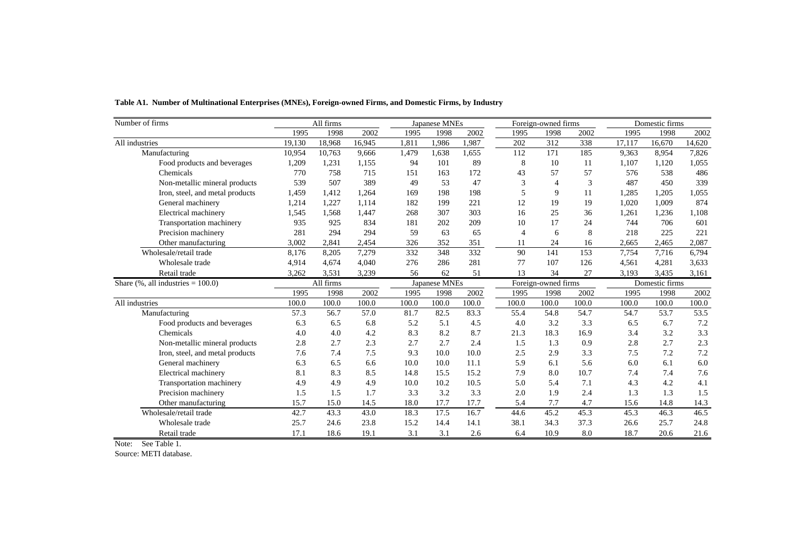| Number of firms                       |        | All firms |        |       | Japanese MNEs |       |                | Foreign-owned firms |       |        | Domestic firms |        |
|---------------------------------------|--------|-----------|--------|-------|---------------|-------|----------------|---------------------|-------|--------|----------------|--------|
|                                       | 1995   | 1998      | 2002   | 1995  | 1998          | 2002  | 1995           | 1998                | 2002  | 1995   | 1998           | 2002   |
| All industries                        | 19,130 | 18,968    | 16,945 | 1,811 | 1,986         | 1,987 | 202            | 312                 | 338   | 17,117 | 16,670         | 14,620 |
| Manufacturing                         | 10,954 | 10,763    | 9,666  | 1,479 | 1,638         | 1,655 | 112            | 171                 | 185   | 9,363  | 8,954          | 7,826  |
| Food products and beverages           | 1,209  | 1,231     | 1,155  | 94    | 101           | 89    | 8              | 10                  | 11    | 1,107  | 1,120          | 1,055  |
| Chemicals                             | 770    | 758       | 715    | 151   | 163           | 172   | 43             | 57                  | 57    | 576    | 538            | 486    |
| Non-metallic mineral products         | 539    | 507       | 389    | 49    | 53            | 47    | 3              | $\overline{4}$      | 3     | 487    | 450            | 339    |
| Iron, steel, and metal products       | 1,459  | 1,412     | 1,264  | 169   | 198           | 198   | 5              | 9                   | 11    | 1,285  | 1,205          | 1,055  |
| General machinery                     | 1,214  | 1,227     | 1,114  | 182   | 199           | 221   | 12             | 19                  | 19    | 1,020  | 1,009          | 874    |
| Electrical machinery                  | 1,545  | 1.568     | 1,447  | 268   | 307           | 303   | 16             | 25                  | 36    | 1,261  | 1,236          | 1,108  |
| Transportation machinery              | 935    | 925       | 834    | 181   | 202           | 209   | 10             | 17                  | 24    | 744    | 706            | 601    |
| Precision machinery                   | 281    | 294       | 294    | 59    | 63            | 65    | $\overline{4}$ | 6                   | 8     | 218    | 225            | 221    |
| Other manufacturing                   | 3,002  | 2,841     | 2,454  | 326   | 352           | 351   | 11             | 24                  | 16    | 2,665  | 2,465          | 2,087  |
| Wholesale/retail trade                | 8,176  | 8,205     | 7,279  | 332   | 348           | 332   | 90             | 141                 | 153   | 7,754  | 7,716          | 6,794  |
| Wholesale trade                       | 4,914  | 4.674     | 4.040  | 276   | 286           | 281   | 77             | 107                 | 126   | 4,561  | 4,281          | 3,633  |
| Retail trade                          | 3,262  | 3,531     | 3,239  | 56    | 62            | 51    | 13             | 34                  | 27    | 3,193  | 3,435          | 3,161  |
| Share $(\%$ , all industries = 100.0) |        | All firms |        |       | Japanese MNEs |       |                | Foreign-owned firms |       |        | Domestic firms |        |
|                                       | 1995   | 1998      | 2002   | 1995  | 1998          | 2002  | 1995           | 1998                | 2002  | 1995   | 1998           | 2002   |
| All industries                        | 100.0  | 100.0     | 100.0  | 100.0 | 100.0         | 100.0 | 100.0          | 100.0               | 100.0 | 100.0  | 100.0          | 100.0  |
| Manufacturing                         | 57.3   | 56.7      | 57.0   | 81.7  | 82.5          | 83.3  | 55.4           | 54.8                | 54.7  | 54.7   | 53.7           | 53.5   |
| Food products and beverages           | 6.3    | 6.5       | 6.8    | 5.2   | 5.1           | 4.5   | 4.0            | 3.2                 | 3.3   | 6.5    | 6.7            | 7.2    |
| Chemicals                             | 4.0    | 4.0       | 4.2    | 8.3   | 8.2           | 8.7   | 21.3           | 18.3                | 16.9  | 3.4    | 3.2            | 3.3    |
| Non-metallic mineral products         | 2.8    | 2.7       | 2.3    | 2.7   | 2.7           | 2.4   | 1.5            | 1.3                 | 0.9   | 2.8    | 2.7            | 2.3    |
| Iron, steel, and metal products       | 7.6    | 7.4       | 7.5    | 9.3   | 10.0          | 10.0  | 2.5            | 2.9                 | 3.3   | 7.5    | 7.2            | 7.2    |
| General machinery                     | 6.3    | 6.5       | 6.6    | 10.0  | 10.0          | 11.1  | 5.9            | 6.1                 | 5.6   | 6.0    | 6.1            | 6.0    |
| Electrical machinery                  | 8.1    | 8.3       | 8.5    | 14.8  | 15.5          | 15.2  | 7.9            | 8.0                 | 10.7  | 7.4    | 7.4            | 7.6    |
| Transportation machinery              | 4.9    | 4.9       | 4.9    | 10.0  | 10.2          | 10.5  | 5.0            | 5.4                 | 7.1   | 4.3    | 4.2            | 4.1    |
| Precision machinery                   | 1.5    | 1.5       | 1.7    | 3.3   | 3.2           | 3.3   | 2.0            | 1.9                 | 2.4   | 1.3    | 1.3            | 1.5    |
| Other manufacturing                   | 15.7   | 15.0      | 14.5   | 18.0  | 17.7          | 17.7  | 5.4            | 7.7                 | 4.7   | 15.6   | 14.8           | 14.3   |
| Wholesale/retail trade                | 42.7   | 43.3      | 43.0   | 18.3  | 17.5          | 16.7  | 44.6           | 45.2                | 45.3  | 45.3   | 46.3           | 46.5   |
| Wholesale trade                       | 25.7   | 24.6      | 23.8   | 15.2  | 14.4          | 14.1  | 38.1           | 34.3                | 37.3  | 26.6   | 25.7           | 24.8   |
| Retail trade                          | 17.1   | 18.6      | 19.1   | 3.1   | 3.1           | 2.6   | 6.4            | 10.9                | 8.0   | 18.7   | 20.6           | 21.6   |

**Table A1. Number of Multinational Enterprises (MNEs), Foreign-owned Firms, and Domestic Firms, by Industry**

Note: See Table 1.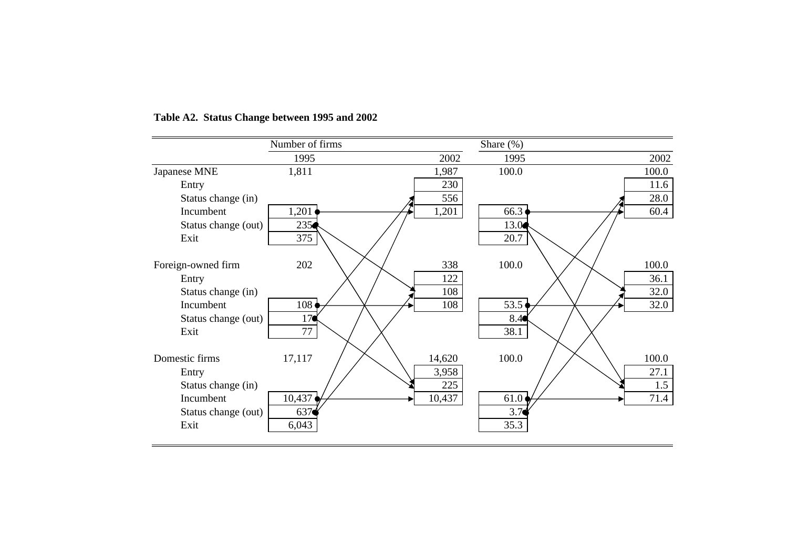|                     | Number of firms |        | Share (%) |       |
|---------------------|-----------------|--------|-----------|-------|
|                     | 1995            | 2002   | 1995      | 2002  |
| Japanese MNE        | 1,811           | 1,987  | 100.0     | 100.0 |
| Entry               |                 | 230    |           | 11.6  |
| Status change (in)  |                 | 556    |           | 28.0  |
| Incumbent           | 1,201           | 1,201  | 66.3      | 60.4  |
| Status change (out) | 235             |        | 13.0      |       |
| Exit                | 375             |        | 20.7      |       |
|                     |                 |        |           |       |
| Foreign-owned firm  | 202             | 338    | 100.0     | 100.0 |
| Entry               |                 | 122    |           | 36.1  |
| Status change (in)  |                 | 108    |           | 32.0  |
| Incumbent           | 108             | 108    | 53.5      | 32.0  |
| Status change (out) | 17 <sub>°</sub> |        | 8.4       |       |
| Exit                | 77              |        | 38.1      |       |
|                     |                 |        |           |       |
| Domestic firms      | 17,117          | 14,620 | 100.0     | 100.0 |
| Entry               |                 | 3,958  |           | 27.1  |
| Status change (in)  |                 | 225    |           | 1.5   |
| Incumbent           | 10,437          | 10,437 | 61.0      | 71.4  |
| Status change (out) | 637             |        | 3.7       |       |
| Exit                | 6,043           |        | 35.3      |       |
|                     |                 |        |           |       |

# **Table A2. Status Change between 1995 and 2002**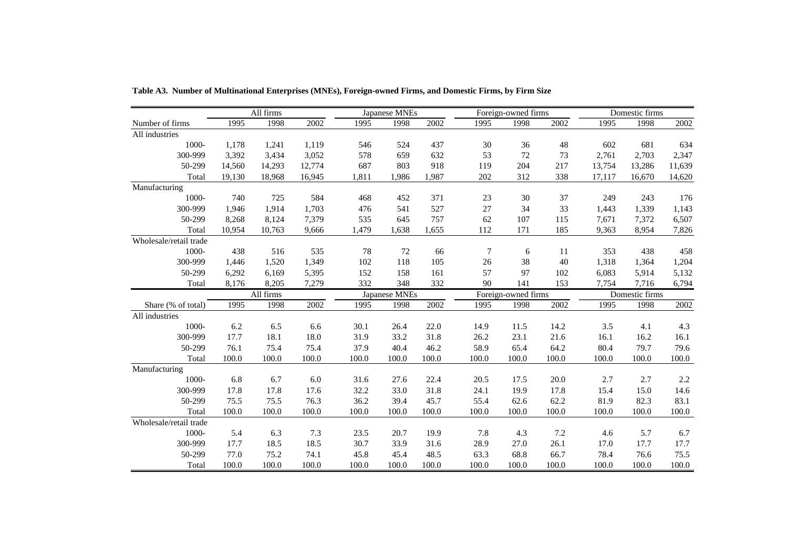|                        |        | All firms |        |       | Japanese MNEs |                   |                | Foreign-owned firms |         |        | Domestic firms |        |
|------------------------|--------|-----------|--------|-------|---------------|-------------------|----------------|---------------------|---------|--------|----------------|--------|
| Number of firms        | 1995   | 1998      | 2002   | 1995  | 1998          | $\overline{2002}$ | 1995           | 1998                | 2002    | 1995   | 1998           | 2002   |
| All industries         |        |           |        |       |               |                   |                |                     |         |        |                |        |
| 1000-                  | 1,178  | 1,241     | 1,119  | 546   | 524           | 437               | 30             | 36                  | 48      | 602    | 681            | 634    |
| 300-999                | 3,392  | 3,434     | 3,052  | 578   | 659           | 632               | 53             | 72                  | 73      | 2,761  | 2,703          | 2,347  |
| 50-299                 | 14,560 | 14,293    | 12,774 | 687   | 803           | 918               | 119            | 204                 | 217     | 13,754 | 13,286         | 11,639 |
| Total                  | 19,130 | 18,968    | 16,945 | 1,811 | 1,986         | 1,987             | 202            | 312                 | 338     | 17,117 | 16,670         | 14,620 |
| Manufacturing          |        |           |        |       |               |                   |                |                     |         |        |                |        |
| 1000-                  | 740    | 725       | 584    | 468   | 452           | 371               | 23             | 30                  | 37      | 249    | 243            | 176    |
| 300-999                | 1,946  | 1,914     | 1,703  | 476   | 541           | 527               | 27             | 34                  | 33      | 1,443  | 1,339          | 1,143  |
| 50-299                 | 8,268  | 8,124     | 7,379  | 535   | 645           | 757               | 62             | 107                 | 115     | 7,671  | 7,372          | 6,507  |
| Total                  | 10.954 | 10,763    | 9,666  | 1,479 | 1,638         | 1,655             | 112            | 171                 | 185     | 9,363  | 8,954          | 7,826  |
| Wholesale/retail trade |        |           |        |       |               |                   |                |                     |         |        |                |        |
| 1000-                  | 438    | 516       | 535    | 78    | 72            | 66                | $\overline{7}$ | 6                   | $11\,$  | 353    | 438            | 458    |
| 300-999                | 1,446  | 1,520     | 1,349  | 102   | 118           | 105               | 26             | 38                  | 40      | 1,318  | 1,364          | 1,204  |
| 50-299                 | 6,292  | 6,169     | 5,395  | 152   | 158           | 161               | 57             | 97                  | 102     | 6,083  | 5,914          | 5,132  |
| Total                  | 8,176  | 8,205     | 7,279  | 332   | 348           | 332               | 90             | 141                 | 153     | 7,754  | 7,716          | 6,794  |
|                        |        | All firms |        |       | Japanese MNEs |                   |                | Foreign-owned firms |         |        | Domestic firms |        |
| Share (% of total)     | 1995   | 1998      | 2002   | 1995  | 1998          | 2002              | 1995           | 1998                | 2002    | 1995   | 1998           | 2002   |
| All industries         |        |           |        |       |               |                   |                |                     |         |        |                |        |
| 1000-                  | 6.2    | 6.5       | 6.6    | 30.1  | 26.4          | 22.0              | 14.9           | 11.5                | 14.2    | 3.5    | 4.1            | 4.3    |
| 300-999                | 17.7   | 18.1      | 18.0   | 31.9  | 33.2          | 31.8              | 26.2           | 23.1                | 21.6    | 16.1   | 16.2           | 16.1   |
| 50-299                 | 76.1   | 75.4      | 75.4   | 37.9  | 40.4          | 46.2              | 58.9           | 65.4                | 64.2    | 80.4   | 79.7           | 79.6   |
| Total                  | 100.0  | 100.0     | 100.0  | 100.0 | 100.0         | 100.0             | 100.0          | 100.0               | 100.0   | 100.0  | 100.0          | 100.0  |
| Manufacturing          |        |           |        |       |               |                   |                |                     |         |        |                |        |
| 1000-                  | 6.8    | 6.7       | 6.0    | 31.6  | 27.6          | 22.4              | 20.5           | 17.5                | 20.0    | 2.7    | 2.7            | 2.2    |
| 300-999                | 17.8   | 17.8      | 17.6   | 32.2  | 33.0          | 31.8              | 24.1           | 19.9                | 17.8    | 15.4   | 15.0           | 14.6   |
| 50-299                 | 75.5   | 75.5      | 76.3   | 36.2  | 39.4          | 45.7              | 55.4           | 62.6                | 62.2    | 81.9   | 82.3           | 83.1   |
| Total                  | 100.0  | 100.0     | 100.0  | 100.0 | 100.0         | 100.0             | 100.0          | 100.0               | 100.0   | 100.0  | 100.0          | 100.0  |
| Wholesale/retail trade |        |           |        |       |               |                   |                |                     |         |        |                |        |
| 1000-                  | 5.4    | 6.3       | 7.3    | 23.5  | 20.7          | 19.9              | 7.8            | 4.3                 | $7.2\,$ | 4.6    | 5.7            | 6.7    |
| 300-999                | 17.7   | 18.5      | 18.5   | 30.7  | 33.9          | 31.6              | 28.9           | 27.0                | 26.1    | 17.0   | 17.7           | 17.7   |
| 50-299                 | 77.0   | 75.2      | 74.1   | 45.8  | 45.4          | 48.5              | 63.3           | 68.8                | 66.7    | 78.4   | 76.6           | 75.5   |
| Total                  | 100.0  | 100.0     | 100.0  | 100.0 | 100.0         | 100.0             | 100.0          | 100.0               | 100.0   | 100.0  | 100.0          | 100.0  |

**Table A3. Number of Multinational Enterprises (MNEs), Foreign-owned Firms, and Domestic Firms, by Firm Size**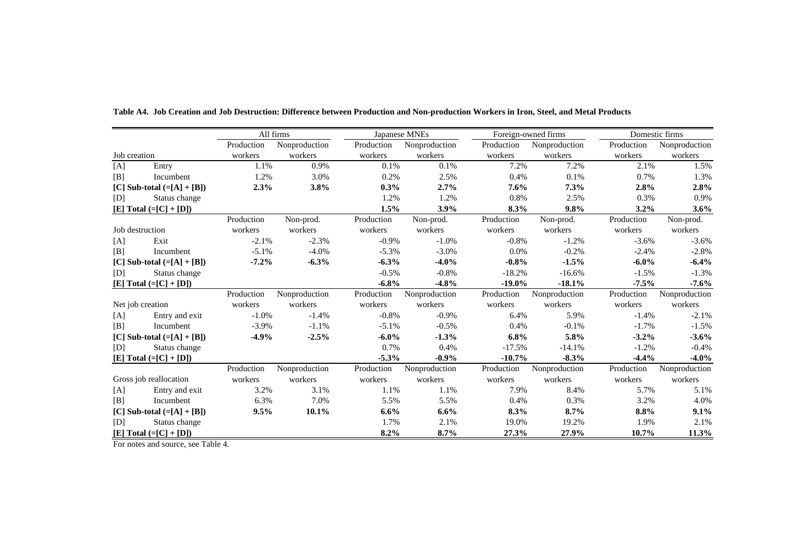|                              |                            |            | All firms     |            | Japanese MNEs | Foreign-owned firms |               |            | Domestic firms |  |
|------------------------------|----------------------------|------------|---------------|------------|---------------|---------------------|---------------|------------|----------------|--|
|                              |                            | Production | Nonproduction | Production | Nonproduction | Production          | Nonproduction | Production | Nonproduction  |  |
| Job creation                 |                            | workers    | workers       | workers    | workers       | workers             | workers       | workers    | workers        |  |
| [A]                          | Entry                      | 1.1%       | 0.9%          | 0.1%       | 0.1%          | 7.2%                | 7.2%          | 2.1%       | 1.5%           |  |
| [B]                          | Incumbent                  | 1.2%       | 3.0%          | 0.2%       | 2.5%          | 0.4%                | 0.1%          | 0.7%       | 1.3%           |  |
|                              | [C] Sub-total $(=[A]+[B])$ | 2.3%       | 3.8%          | $0.3\%$    | 2.7%          | $7.6\%$             | 7.3%          | 2.8%       | 2.8%           |  |
| [D]                          | Status change              |            |               | 1.2%       | 1.2%          | 0.8%                | 2.5%          | 0.3%       | 0.9%           |  |
|                              | $[E] Total (= [C] + [D])$  |            |               | 1.5%       | $3.9\%$       | 8.3%                | 9.8%          | $3.2\%$    | 3.6%           |  |
|                              |                            | Production | Non-prod.     | Production | Non-prod.     | Production          | Non-prod.     | Production | Non-prod.      |  |
| Job destruction              |                            | workers    | workers       | workers    | workers       | workers             | workers       | workers    | workers        |  |
| [A]                          | Exit                       | $-2.1%$    | $-2.3%$       | $-0.9\%$   | $-1.0%$       | $-0.8%$             | $-1.2%$       | $-3.6%$    | $-3.6%$        |  |
| [B]                          | Incumbent                  | $-5.1%$    | $-4.0%$       | $-5.3%$    | $-3.0%$       | 0.0%                | $-0.2%$       | $-2.4%$    | $-2.8%$        |  |
|                              | [C] Sub-total $(=[A]+[B])$ | $-7.2%$    | $-6.3%$       | $-6.3%$    | $-4.0%$       | $-0.8%$             | $-1.5%$       | $-6.0\%$   | $-6.4%$        |  |
| [D]                          | Status change              |            |               | $-0.5%$    | $-0.8%$       | $-18.2%$            | $-16.6%$      | $-1.5%$    | $-1.3%$        |  |
|                              | $[E] Total (= [C] + [D])$  |            |               | $-6.8%$    | $-4.8%$       | $-19.0\%$           | $-18.1%$      | $-7.5\%$   | $-7.6%$        |  |
|                              |                            | Production | Nonproduction | Production | Nonproduction | Production          | Nonproduction | Production | Nonproduction  |  |
|                              | Net job creation           | workers    | workers       | workers    | workers       | workers             | workers       | workers    | workers        |  |
| [A]                          | Entry and exit             | $-1.0\%$   | $-1.4%$       | $-0.8%$    | $-0.9\%$      | 6.4%                | 5.9%          | $-1.4%$    | $-2.1%$        |  |
| [B]                          | Incumbent                  | $-3.9%$    | $-1.1%$       | $-5.1%$    | $-0.5%$       | 0.4%                | $-0.1%$       | $-1.7%$    | $-1.5%$        |  |
|                              | [C] Sub-total $(=[A]+[B])$ | $-4.9%$    | $-2.5%$       | $-6.0\%$   | $-1.3%$       | 6.8%                | 5.8%          | $-3.2\%$   | $-3.6%$        |  |
| [D]                          | Status change              |            |               | 0.7%       | 0.4%          | $-17.5%$            | $-14.1%$      | $-1.2%$    | $-0.4%$        |  |
|                              | $[E] Total (= [C] + [D])$  |            |               | $-5.3%$    | $-0.9\%$      | $-10.7%$            | $-8.3%$       | $-4.4%$    | $-4.0%$        |  |
|                              |                            | Production | Nonproduction | Production | Nonproduction | Production          | Nonproduction | Production | Nonproduction  |  |
|                              | Gross job reallocation     | workers    | workers       | workers    | workers       | workers             | workers       | workers    | workers        |  |
| [A]                          | Entry and exit             | 3.2%       | 3.1%          | 1.1%       | 1.1%          | 7.9%                | 8.4%          | 5.7%       | 5.1%           |  |
| [B]                          | Incumbent                  | 6.3%       | 7.0%          | 5.5%       | 5.5%          | 0.4%                | 0.3%          | 3.2%       | 4.0%           |  |
| [C] Sub-total $(=[A] + [B])$ |                            | 9.5%       | 10.1%         | $6.6\%$    | 6.6%          | 8.3%                | 8.7%          | 8.8%       | 9.1%           |  |
| [D]                          | Status change              |            |               | 1.7%       | 2.1%          | 19.0%               | 19.2%         | 1.9%       | 2.1%           |  |
|                              | [E] Total $(=[C]+[D])$     |            |               | 8.2%       | 8.7%          | 27.3%               | 27.9%         | 10.7%      | 11.3%          |  |

**Table A4. Job Creation and Job Destruction: Difference between Production and Non-production Workers in Iron, Steel, and Metal Products**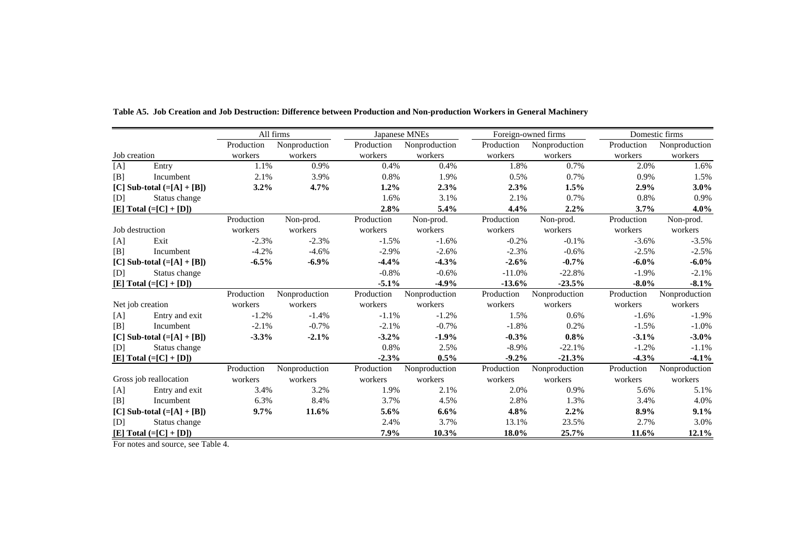|                              |                            |            | All firms     |            | Japanese MNEs | Foreign-owned firms |               |            | Domestic firms |  |
|------------------------------|----------------------------|------------|---------------|------------|---------------|---------------------|---------------|------------|----------------|--|
|                              |                            | Production | Nonproduction | Production | Nonproduction | Production          | Nonproduction | Production | Nonproduction  |  |
| Job creation                 |                            | workers    | workers       | workers    | workers       | workers             | workers       | workers    | workers        |  |
| [A]                          | Entry                      | 1.1%       | 0.9%          | 0.4%       | 0.4%          | 1.8%                | 0.7%          | 2.0%       | 1.6%           |  |
| [B]                          | Incumbent                  | 2.1%       | 3.9%          | 0.8%       | 1.9%          | 0.5%                | 0.7%          | 0.9%       | 1.5%           |  |
|                              | [C] Sub-total $(=[A]+[B])$ | 3.2%       | 4.7%          | $1.2\%$    | 2.3%          | 2.3%                | 1.5%          | 2.9%       | $3.0\%$        |  |
| [D]                          | Status change              |            |               | 1.6%       | 3.1%          | 2.1%                | 0.7%          | 0.8%       | 0.9%           |  |
|                              | $[E] Total (= [C] + [D])$  |            |               | 2.8%       | 5.4%          | 4.4%                | 2.2%          | 3.7%       | 4.0%           |  |
|                              |                            | Production | Non-prod.     | Production | Non-prod.     | Production          | Non-prod.     | Production | Non-prod.      |  |
| Job destruction              |                            | workers    | workers       | workers    | workers       | workers             | workers       | workers    | workers        |  |
| [A]                          | Exit                       | $-2.3%$    | $-2.3%$       | $-1.5%$    | $-1.6%$       | $-0.2%$             | $-0.1%$       | $-3.6%$    | $-3.5%$        |  |
| [B]                          | Incumbent                  | $-4.2%$    | $-4.6%$       | $-2.9%$    | $-2.6%$       | $-2.3%$             | $-0.6%$       | $-2.5%$    | $-2.5%$        |  |
|                              | [C] Sub-total $(=[A]+[B])$ | $-6.5%$    | $-6.9%$       | $-4.4%$    | $-4.3%$       | $-2.6%$             | $-0.7%$       | $-6.0\%$   | $-6.0\%$       |  |
| [D]                          | Status change              |            |               | $-0.8%$    | $-0.6%$       | $-11.0%$            | $-22.8%$      | $-1.9%$    | $-2.1%$        |  |
|                              | $[E] Total (= [C] + [D])$  |            |               | $-5.1%$    | $-4.9%$       | $-13.6%$            | $-23.5%$      | $-8.0\%$   | $-8.1%$        |  |
|                              |                            | Production | Nonproduction | Production | Nonproduction | Production          | Nonproduction | Production | Nonproduction  |  |
|                              | Net job creation           | workers    | workers       | workers    | workers       | workers             | workers       | workers    | workers        |  |
| [A]                          | Entry and exit             | $-1.2%$    | $-1.4%$       | $-1.1%$    | $-1.2%$       | 1.5%                | 0.6%          | $-1.6%$    | $-1.9%$        |  |
| [B]                          | Incumbent                  | $-2.1%$    | $-0.7%$       | $-2.1%$    | $-0.7%$       | $-1.8%$             | 0.2%          | $-1.5%$    | $-1.0%$        |  |
|                              | [C] Sub-total $(=[A]+[B])$ | $-3.3%$    | $-2.1%$       | $-3.2%$    | $-1.9%$       | $-0.3%$             | 0.8%          | $-3.1%$    | $-3.0\%$       |  |
| [D]                          | Status change              |            |               | 0.8%       | 2.5%          | $-8.9\%$            | $-22.1%$      | $-1.2%$    | $-1.1%$        |  |
|                              | $[E] Total (= [C] + [D])$  |            |               | $-2.3%$    | 0.5%          | $-9.2%$             | $-21.3%$      | $-4.3%$    | $-4.1%$        |  |
|                              |                            | Production | Nonproduction | Production | Nonproduction | Production          | Nonproduction | Production | Nonproduction  |  |
|                              | Gross job reallocation     | workers    | workers       | workers    | workers       | workers             | workers       | workers    | workers        |  |
| [A]                          | Entry and exit             | 3.4%       | 3.2%          | 1.9%       | 2.1%          | 2.0%                | 0.9%          | 5.6%       | 5.1%           |  |
| [B]                          | Incumbent                  | 6.3%       | 8.4%          | 3.7%       | 4.5%          | 2.8%                | 1.3%          | 3.4%       | 4.0%           |  |
| [C] Sub-total $(=[A] + [B])$ |                            | 9.7%       | 11.6%         | 5.6%       | 6.6%          | 4.8%                | 2.2%          | 8.9%       | 9.1%           |  |
| [D]                          | Status change              |            |               | 2.4%       | 3.7%          | 13.1%               | 23.5%         | 2.7%       | 3.0%           |  |
|                              | [E] Total $(=[C]+[D])$     |            |               | 7.9%       | 10.3%         | 18.0%               | 25.7%         | 11.6%      | 12.1%          |  |

**Table A5. Job Creation and Job Destruction: Difference between Production and Non-production Workers in General Machinery**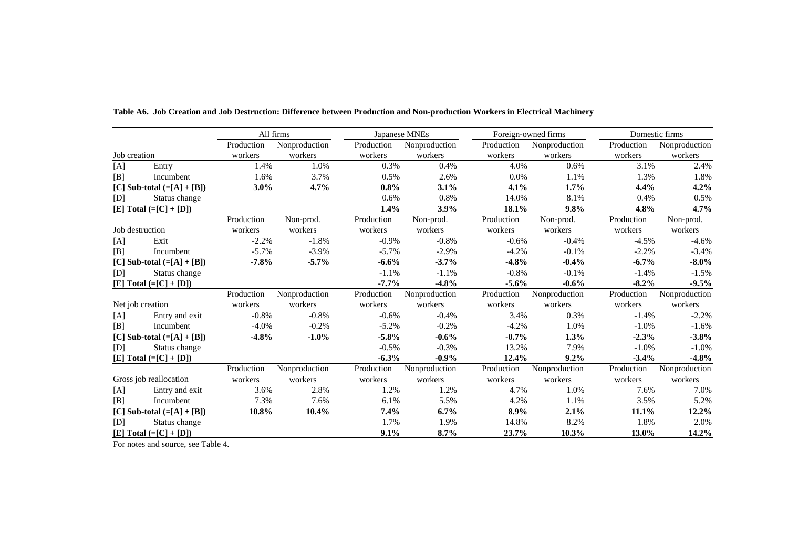|                            |                            |            | All firms     |            | Japanese MNEs | Foreign-owned firms |               |            | Domestic firms |  |
|----------------------------|----------------------------|------------|---------------|------------|---------------|---------------------|---------------|------------|----------------|--|
|                            |                            | Production | Nonproduction | Production | Nonproduction | Production          | Nonproduction | Production | Nonproduction  |  |
| Job creation               |                            | workers    | workers       | workers    | workers       | workers             | workers       | workers    | workers        |  |
| [A]                        | Entry                      | 1.4%       | 1.0%          | 0.3%       | 0.4%          | 4.0%                | 0.6%          | 3.1%       | 2.4%           |  |
| [B]                        | Incumbent                  | 1.6%       | 3.7%          | 0.5%       | 2.6%          | 0.0%                | 1.1%          | 1.3%       | 1.8%           |  |
|                            | [C] Sub-total $(=[A]+[B])$ | $3.0\%$    | 4.7%          | $0.8\%$    | 3.1%          | 4.1%                | 1.7%          | 4.4%       | 4.2%           |  |
| [D]                        | Status change              |            |               | 0.6%       | 0.8%          | 14.0%               | 8.1%          | 0.4%       | 0.5%           |  |
|                            | $[E] Total (= [C] + [D])$  |            |               | 1.4%       | 3.9%          | 18.1%               | 9.8%          | 4.8%       | 4.7%           |  |
|                            |                            | Production | Non-prod.     | Production | Non-prod.     | Production          | Non-prod.     | Production | Non-prod.      |  |
| Job destruction            |                            | workers    | workers       | workers    | workers       | workers             | workers       | workers    | workers        |  |
| [A]                        | Exit                       | $-2.2%$    | $-1.8%$       | $-0.9%$    | $-0.8\%$      | $-0.6%$             | $-0.4%$       | $-4.5%$    | $-4.6%$        |  |
| [B]                        | Incumbent                  | $-5.7%$    | $-3.9%$       | $-5.7\%$   | $-2.9%$       | $-4.2%$             | $-0.1%$       | $-2.2%$    | $-3.4%$        |  |
|                            | [C] Sub-total $(=[A]+[B])$ | $-7.8%$    | $-5.7%$       | $-6.6%$    | $-3.7%$       | $-4.8%$             | $-0.4%$       | $-6.7%$    | $-8.0\%$       |  |
| [D]                        | Status change              |            |               | $-1.1%$    | $-1.1%$       | $-0.8%$             | $-0.1%$       | $-1.4%$    | $-1.5%$        |  |
|                            | $[E] Total (= [C] + [D])$  |            |               | $-7.7\%$   | $-4.8%$       | $-5.6\%$            | $-0.6%$       | $-8.2\%$   | $-9.5%$        |  |
|                            |                            | Production | Nonproduction | Production | Nonproduction | Production          | Nonproduction | Production | Nonproduction  |  |
|                            | Net job creation           | workers    | workers       | workers    | workers       | workers             | workers       | workers    | workers        |  |
| [A]                        | Entry and exit             | $-0.8%$    | $-0.8%$       | $-0.6%$    | $-0.4%$       | 3.4%                | 0.3%          | $-1.4%$    | $-2.2%$        |  |
| [B]                        | Incumbent                  | $-4.0%$    | $-0.2%$       | $-5.2%$    | $-0.2%$       | $-4.2%$             | 1.0%          | $-1.0%$    | $-1.6%$        |  |
|                            | [C] Sub-total $(=[A]+[B])$ | $-4.8%$    | $-1.0%$       | $-5.8%$    | $-0.6%$       | $-0.7%$             | 1.3%          | $-2.3%$    | $-3.8%$        |  |
| [D]                        | Status change              |            |               | $-0.5%$    | $-0.3%$       | 13.2%               | 7.9%          | $-1.0%$    | $-1.0%$        |  |
|                            | $[E] Total (= [C] + [D])$  |            |               | $-6.3%$    | $-0.9\%$      | 12.4%               | 9.2%          | $-3.4%$    | $-4.8%$        |  |
|                            |                            | Production | Nonproduction | Production | Nonproduction | Production          | Nonproduction | Production | Nonproduction  |  |
|                            | Gross job reallocation     | workers    | workers       | workers    | workers       | workers             | workers       | workers    | workers        |  |
| [A]                        | Entry and exit             | 3.6%       | 2.8%          | 1.2%       | 1.2%          | 4.7%                | 1.0%          | 7.6%       | 7.0%           |  |
| [B]                        | Incumbent                  | 7.3%       | 7.6%          | 6.1%       | 5.5%          | 4.2%                | 1.1%          | 3.5%       | 5.2%           |  |
| [C] Sub-total $(=[A]+[B])$ |                            | 10.8%      | 10.4%         | 7.4%       | 6.7%          | 8.9%                | 2.1%          | 11.1%      | 12.2%          |  |
| [D]                        | Status change              |            |               | 1.7%       | 1.9%          | 14.8%               | 8.2%          | 1.8%       | 2.0%           |  |
|                            | [E] Total $(=[C]+[D])$     |            |               | 9.1%       | 8.7%          | 23.7%               | 10.3%         | 13.0%      | 14.2%          |  |

**Table A6. Job Creation and Job Destruction: Difference between Production and Non-production Workers in Electrical Machinery**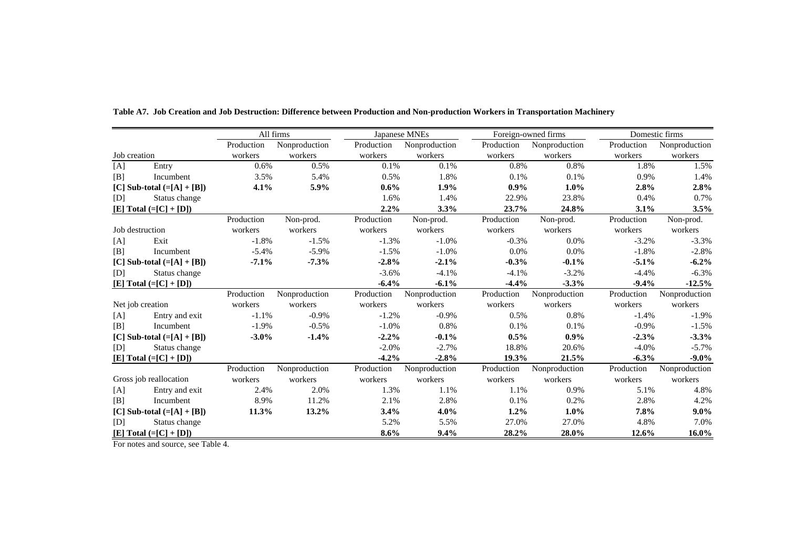|                            |                            |            | All firms     |            | Japanese MNEs | Foreign-owned firms |               |            | Domestic firms |  |
|----------------------------|----------------------------|------------|---------------|------------|---------------|---------------------|---------------|------------|----------------|--|
|                            |                            | Production | Nonproduction | Production | Nonproduction | Production          | Nonproduction | Production | Nonproduction  |  |
| Job creation               |                            | workers    | workers       | workers    | workers       | workers             | workers       | workers    | workers        |  |
| [A]                        | Entry                      | 0.6%       | 0.5%          | 0.1%       | 0.1%          | 0.8%                | 0.8%          | 1.8%       | 1.5%           |  |
| [B]                        | Incumbent                  | 3.5%       | 5.4%          | 0.5%       | 1.8%          | 0.1%                | 0.1%          | 0.9%       | 1.4%           |  |
|                            | [C] Sub-total $(=[A]+[B])$ | 4.1%       | 5.9%          | $0.6\%$    | $1.9\%$       | $0.9\%$             | 1.0%          | 2.8%       | 2.8%           |  |
| [D]                        | Status change              |            |               | 1.6%       | 1.4%          | 22.9%               | 23.8%         | 0.4%       | 0.7%           |  |
|                            | $[E] Total (= [C] + [D])$  |            |               | 2.2%       | 3.3%          | 23.7%               | 24.8%         | 3.1%       | 3.5%           |  |
|                            |                            | Production | Non-prod.     | Production | Non-prod.     | Production          | Non-prod.     | Production | Non-prod.      |  |
| Job destruction            |                            | workers    | workers       | workers    | workers       | workers             | workers       | workers    | workers        |  |
| [A]                        | Exit                       | $-1.8%$    | $-1.5%$       | $-1.3%$    | $-1.0%$       | $-0.3%$             | 0.0%          | $-3.2%$    | $-3.3%$        |  |
| [B]                        | Incumbent                  | $-5.4%$    | $-5.9%$       | $-1.5%$    | $-1.0%$       | 0.0%                | 0.0%          | $-1.8%$    | $-2.8%$        |  |
|                            | [C] Sub-total $(=[A]+[B])$ | $-7.1%$    | $-7.3%$       | $-2.8%$    | $-2.1%$       | $-0.3%$             | $-0.1%$       | $-5.1%$    | $-6.2\%$       |  |
| [D]                        | Status change              |            |               | $-3.6%$    | $-4.1%$       | $-4.1%$             | $-3.2%$       | $-4.4%$    | $-6.3%$        |  |
|                            | $[E] Total (= [C] + [D])$  |            |               | $-6.4%$    | $-6.1%$       | $-4.4%$             | $-3.3%$       | $-9.4%$    | $-12.5%$       |  |
|                            |                            | Production | Nonproduction | Production | Nonproduction | Production          | Nonproduction | Production | Nonproduction  |  |
|                            | Net job creation           | workers    | workers       | workers    | workers       | workers             | workers       | workers    | workers        |  |
| [A]                        | Entry and exit             | $-1.1%$    | $-0.9%$       | $-1.2%$    | $-0.9\%$      | 0.5%                | 0.8%          | $-1.4%$    | $-1.9%$        |  |
| [B]                        | Incumbent                  | $-1.9%$    | $-0.5%$       | $-1.0%$    | 0.8%          | 0.1%                | 0.1%          | $-0.9%$    | $-1.5%$        |  |
|                            | [C] Sub-total $(=[A]+[B])$ | $-3.0\%$   | $-1.4%$       | $-2.2%$    | $-0.1%$       | 0.5%                | $0.9\%$       | $-2.3%$    | $-3.3%$        |  |
| [D]                        | Status change              |            |               | $-2.0%$    | $-2.7%$       | 18.8%               | 20.6%         | $-4.0%$    | $-5.7%$        |  |
|                            | $[E] Total (= [C] + [D])$  |            |               | $-4.2%$    | $-2.8%$       | 19.3%               | 21.5%         | $-6.3%$    | $-9.0\%$       |  |
|                            |                            | Production | Nonproduction | Production | Nonproduction | Production          | Nonproduction | Production | Nonproduction  |  |
|                            | Gross job reallocation     | workers    | workers       | workers    | workers       | workers             | workers       | workers    | workers        |  |
| [A]                        | Entry and exit             | 2.4%       | 2.0%          | 1.3%       | 1.1%          | 1.1%                | 0.9%          | 5.1%       | 4.8%           |  |
| [B]                        | Incumbent                  | 8.9%       | 11.2%         | 2.1%       | 2.8%          | 0.1%                | 0.2%          | 2.8%       | 4.2%           |  |
| [C] Sub-total $(=[A]+[B])$ |                            | 11.3%      | 13.2%         | 3.4%       | $4.0\%$       | $1.2\%$             | 1.0%          | 7.8%       | $9.0\%$        |  |
| [D]                        | Status change              |            |               | 5.2%       | 5.5%          | 27.0%               | 27.0%         | 4.8%       | 7.0%           |  |
|                            | [E] Total $(=[C]+[D])$     |            |               | 8.6%       | $9.4\%$       | 28.2%               | 28.0%         | 12.6%      | 16.0%          |  |

**Table A7. Job Creation and Job Destruction: Difference between Production and Non-production Workers in Transportation Machinery**